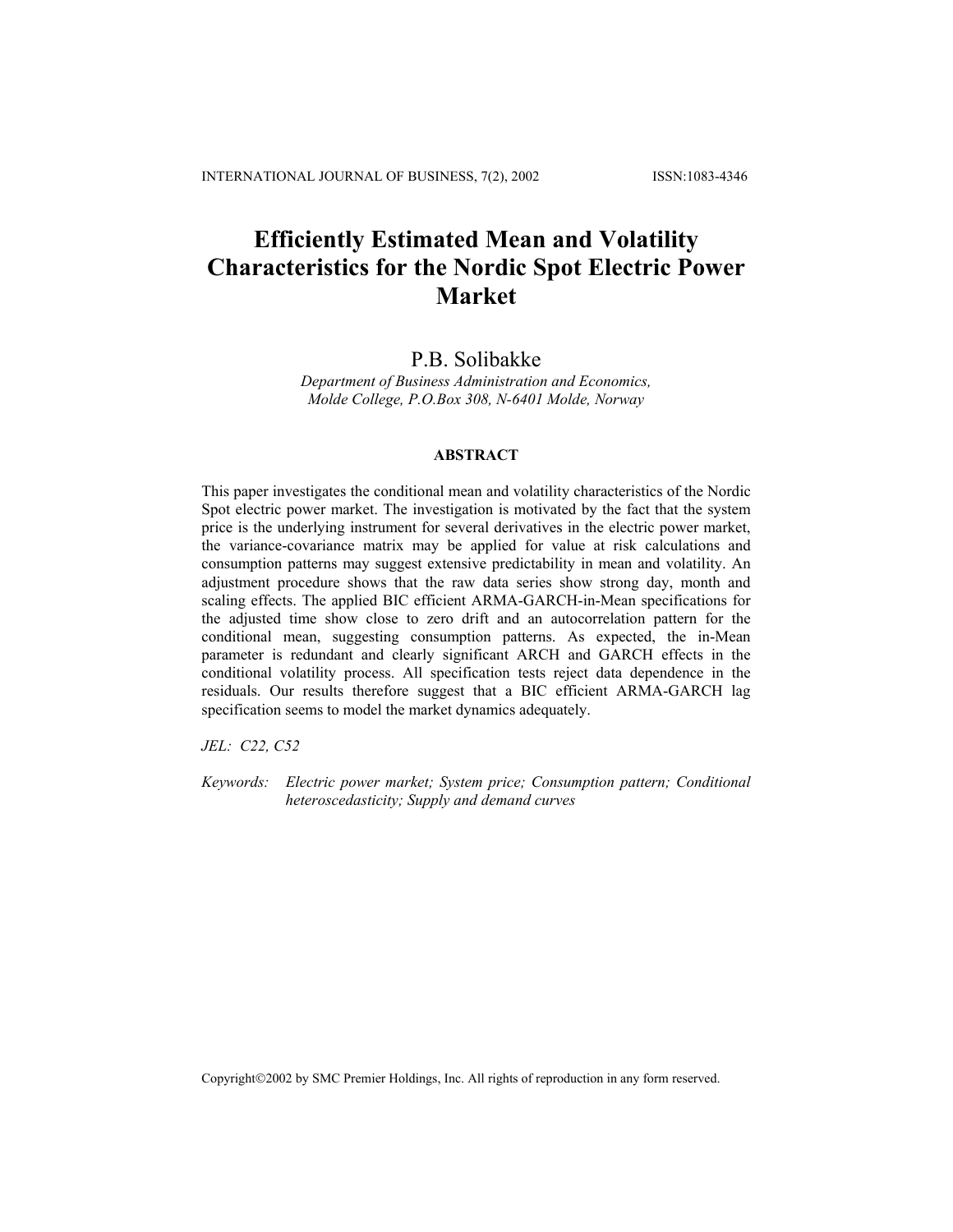# **Efficiently Estimated Mean and Volatility Characteristics for the Nordic Spot Electric Power Market**

# P.B. Solibakke

*Department of Business Administration and Economics, Molde College, P.O.Box 308, N-6401 Molde, Norway* 

# **ABSTRACT**

This paper investigates the conditional mean and volatility characteristics of the Nordic Spot electric power market. The investigation is motivated by the fact that the system price is the underlying instrument for several derivatives in the electric power market, the variance-covariance matrix may be applied for value at risk calculations and consumption patterns may suggest extensive predictability in mean and volatility. An adjustment procedure shows that the raw data series show strong day, month and scaling effects. The applied BIC efficient ARMA-GARCH-in-Mean specifications for the adjusted time show close to zero drift and an autocorrelation pattern for the conditional mean, suggesting consumption patterns. As expected, the in-Mean parameter is redundant and clearly significant ARCH and GARCH effects in the conditional volatility process. All specification tests reject data dependence in the residuals. Our results therefore suggest that a BIC efficient ARMA-GARCH lag specification seems to model the market dynamics adequately.

*JEL: C22, C52* 

*Keywords: Electric power market; System price; Consumption pattern; Conditional heteroscedasticity; Supply and demand curves* 

Copyright2002 by SMC Premier Holdings, Inc. All rights of reproduction in any form reserved.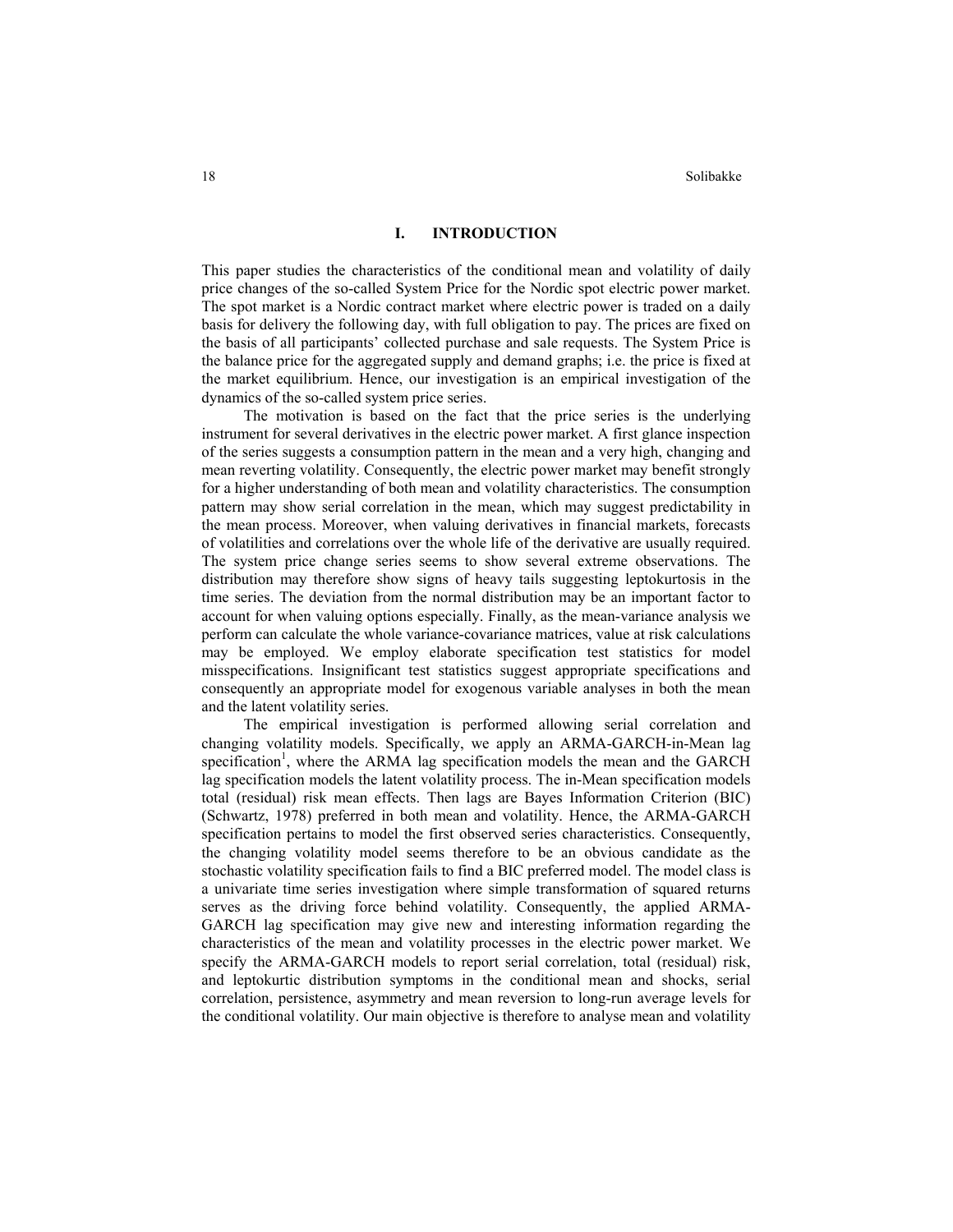#### **I. INTRODUCTION**

This paper studies the characteristics of the conditional mean and volatility of daily price changes of the so-called System Price for the Nordic spot electric power market. The spot market is a Nordic contract market where electric power is traded on a daily basis for delivery the following day, with full obligation to pay. The prices are fixed on the basis of all participants' collected purchase and sale requests. The System Price is the balance price for the aggregated supply and demand graphs; i.e. the price is fixed at the market equilibrium. Hence, our investigation is an empirical investigation of the dynamics of the so-called system price series.

The motivation is based on the fact that the price series is the underlying instrument for several derivatives in the electric power market. A first glance inspection of the series suggests a consumption pattern in the mean and a very high, changing and mean reverting volatility. Consequently, the electric power market may benefit strongly for a higher understanding of both mean and volatility characteristics. The consumption pattern may show serial correlation in the mean, which may suggest predictability in the mean process. Moreover, when valuing derivatives in financial markets, forecasts of volatilities and correlations over the whole life of the derivative are usually required. The system price change series seems to show several extreme observations. The distribution may therefore show signs of heavy tails suggesting leptokurtosis in the time series. The deviation from the normal distribution may be an important factor to account for when valuing options especially. Finally, as the mean-variance analysis we perform can calculate the whole variance-covariance matrices, value at risk calculations may be employed. We employ elaborate specification test statistics for model misspecifications. Insignificant test statistics suggest appropriate specifications and consequently an appropriate model for exogenous variable analyses in both the mean and the latent volatility series.

The empirical investigation is performed allowing serial correlation and changing volatility models. Specifically, we apply an ARMA-GARCH-in-Mean lag specification<sup>1</sup>, where the ARMA lag specification models the mean and the GARCH lag specification models the latent volatility process. The in-Mean specification models total (residual) risk mean effects. Then lags are Bayes Information Criterion (BIC) (Schwartz, 1978) preferred in both mean and volatility. Hence, the ARMA-GARCH specification pertains to model the first observed series characteristics. Consequently, the changing volatility model seems therefore to be an obvious candidate as the stochastic volatility specification fails to find a BIC preferred model. The model class is a univariate time series investigation where simple transformation of squared returns serves as the driving force behind volatility. Consequently, the applied ARMA-GARCH lag specification may give new and interesting information regarding the characteristics of the mean and volatility processes in the electric power market. We specify the ARMA-GARCH models to report serial correlation, total (residual) risk, and leptokurtic distribution symptoms in the conditional mean and shocks, serial correlation, persistence, asymmetry and mean reversion to long-run average levels for the conditional volatility. Our main objective is therefore to analyse mean and volatility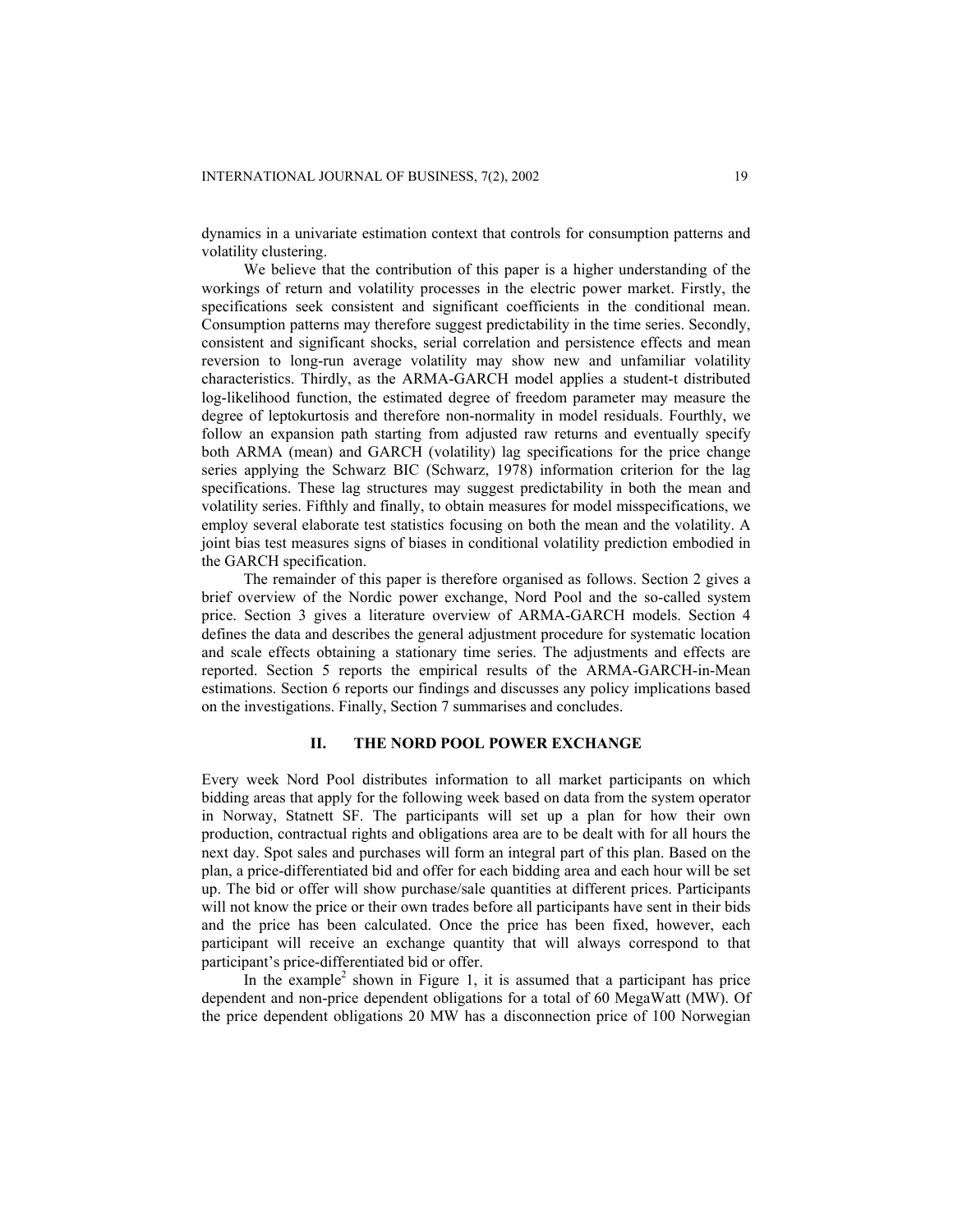dynamics in a univariate estimation context that controls for consumption patterns and volatility clustering.

We believe that the contribution of this paper is a higher understanding of the workings of return and volatility processes in the electric power market. Firstly, the specifications seek consistent and significant coefficients in the conditional mean. Consumption patterns may therefore suggest predictability in the time series. Secondly, consistent and significant shocks, serial correlation and persistence effects and mean reversion to long-run average volatility may show new and unfamiliar volatility characteristics. Thirdly, as the ARMA-GARCH model applies a student-t distributed log-likelihood function, the estimated degree of freedom parameter may measure the degree of leptokurtosis and therefore non-normality in model residuals. Fourthly, we follow an expansion path starting from adjusted raw returns and eventually specify both ARMA (mean) and GARCH (volatility) lag specifications for the price change series applying the Schwarz BIC (Schwarz, 1978) information criterion for the lag specifications. These lag structures may suggest predictability in both the mean and volatility series. Fifthly and finally, to obtain measures for model misspecifications, we employ several elaborate test statistics focusing on both the mean and the volatility. A joint bias test measures signs of biases in conditional volatility prediction embodied in the GARCH specification.

The remainder of this paper is therefore organised as follows. Section 2 gives a brief overview of the Nordic power exchange, Nord Pool and the so-called system price. Section 3 gives a literature overview of ARMA-GARCH models. Section 4 defines the data and describes the general adjustment procedure for systematic location and scale effects obtaining a stationary time series. The adjustments and effects are reported. Section 5 reports the empirical results of the ARMA-GARCH-in-Mean estimations. Section 6 reports our findings and discusses any policy implications based on the investigations. Finally, Section 7 summarises and concludes.

# **II. THE NORD POOL POWER EXCHANGE**

Every week Nord Pool distributes information to all market participants on which bidding areas that apply for the following week based on data from the system operator in Norway, Statnett SF. The participants will set up a plan for how their own production, contractual rights and obligations area are to be dealt with for all hours the next day. Spot sales and purchases will form an integral part of this plan. Based on the plan, a price-differentiated bid and offer for each bidding area and each hour will be set up. The bid or offer will show purchase/sale quantities at different prices. Participants will not know the price or their own trades before all participants have sent in their bids and the price has been calculated. Once the price has been fixed, however, each participant will receive an exchange quantity that will always correspond to that participant's price-differentiated bid or offer.

In the example<sup>2</sup> shown in Figure 1, it is assumed that a participant has price dependent and non-price dependent obligations for a total of 60 MegaWatt (MW). Of the price dependent obligations 20 MW has a disconnection price of 100 Norwegian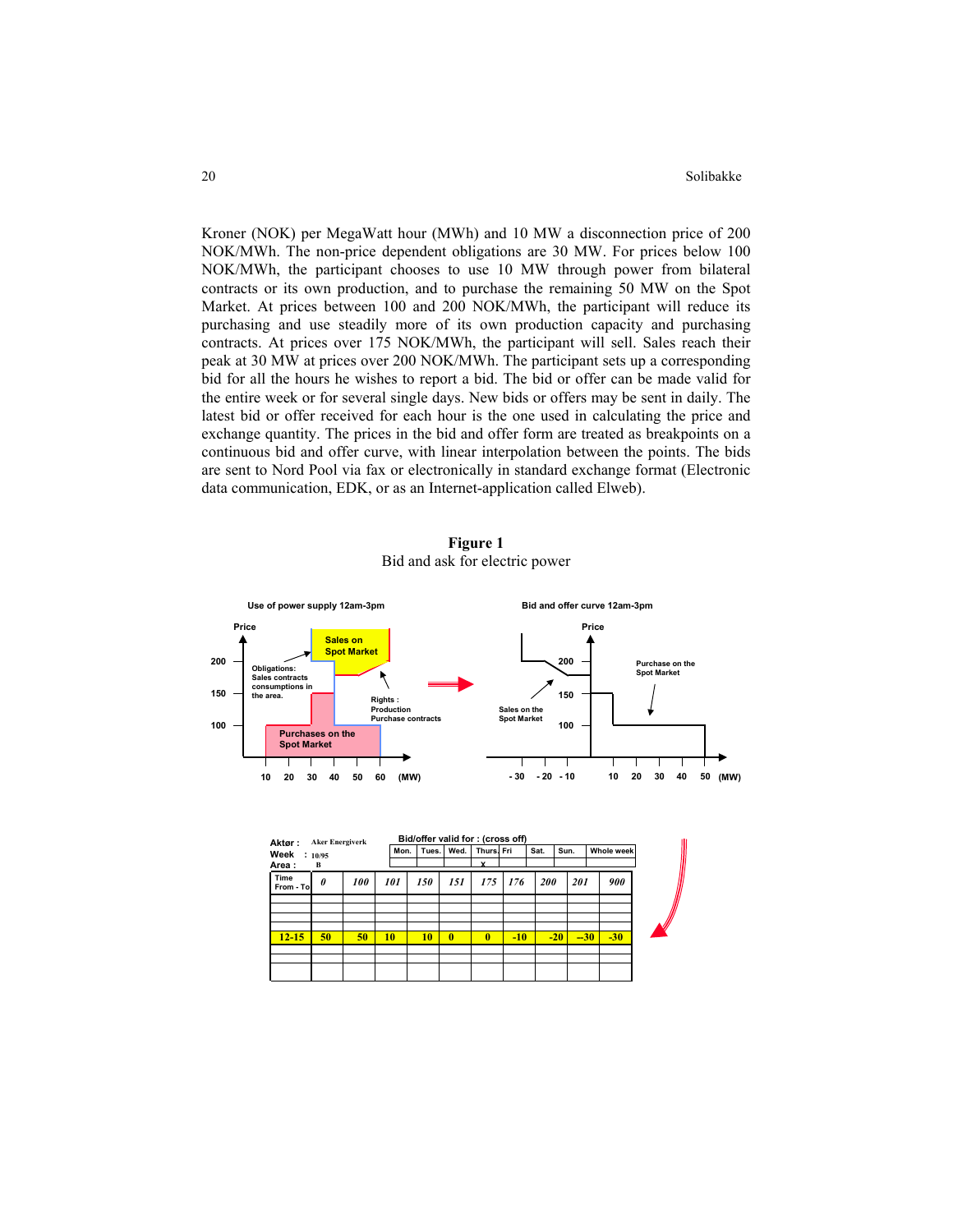Kroner (NOK) per MegaWatt hour (MWh) and 10 MW a disconnection price of 200 NOK/MWh. The non-price dependent obligations are 30 MW. For prices below 100 NOK/MWh, the participant chooses to use 10 MW through power from bilateral contracts or its own production, and to purchase the remaining 50 MW on the Spot Market. At prices between 100 and 200 NOK/MWh, the participant will reduce its purchasing and use steadily more of its own production capacity and purchasing contracts. At prices over 175 NOK/MWh, the participant will sell. Sales reach their peak at 30 MW at prices over 200 NOK/MWh. The participant sets up a corresponding bid for all the hours he wishes to report a bid. The bid or offer can be made valid for the entire week or for several single days. New bids or offers may be sent in daily. The latest bid or offer received for each hour is the one used in calculating the price and exchange quantity. The prices in the bid and offer form are treated as breakpoints on a continuous bid and offer curve, with linear interpolation between the points. The bids are sent to Nord Pool via fax or electronically in standard exchange format (Electronic data communication, EDK, or as an Internet-application called Elweb).

**Figure 1**  Bid and ask for electric power



| Aktør:            | <b>Aker Energiverk</b> |     |      | Bid/offer valid for: (cross off) |      |            |            |            |       |       |            |  |
|-------------------|------------------------|-----|------|----------------------------------|------|------------|------------|------------|-------|-------|------------|--|
| Week              | : 10/95                |     | Mon. | Tues.                            | Wed. | Thurs. Fri |            | Sat.       | Sun.  |       | Whole week |  |
| Area:             | B                      |     |      |                                  |      | $\check{}$ |            |            |       |       |            |  |
| Time<br>From - To | 0                      | 100 | 101  | 150                              | 151  | 175        | <b>176</b> | <b>200</b> |       | 201   | 900        |  |
|                   |                        |     |      |                                  |      |            |            |            |       |       |            |  |
|                   |                        |     |      |                                  |      |            |            |            |       |       |            |  |
| $12 - 15$         | 50                     | 50  | 10   | 10                               | 0    | 0          | $-10$      |            | $-20$ | $-30$ | $-30$      |  |
|                   |                        |     |      |                                  |      |            |            |            |       |       |            |  |
|                   |                        |     |      |                                  |      |            |            |            |       |       |            |  |
|                   |                        |     |      |                                  |      |            |            |            |       |       |            |  |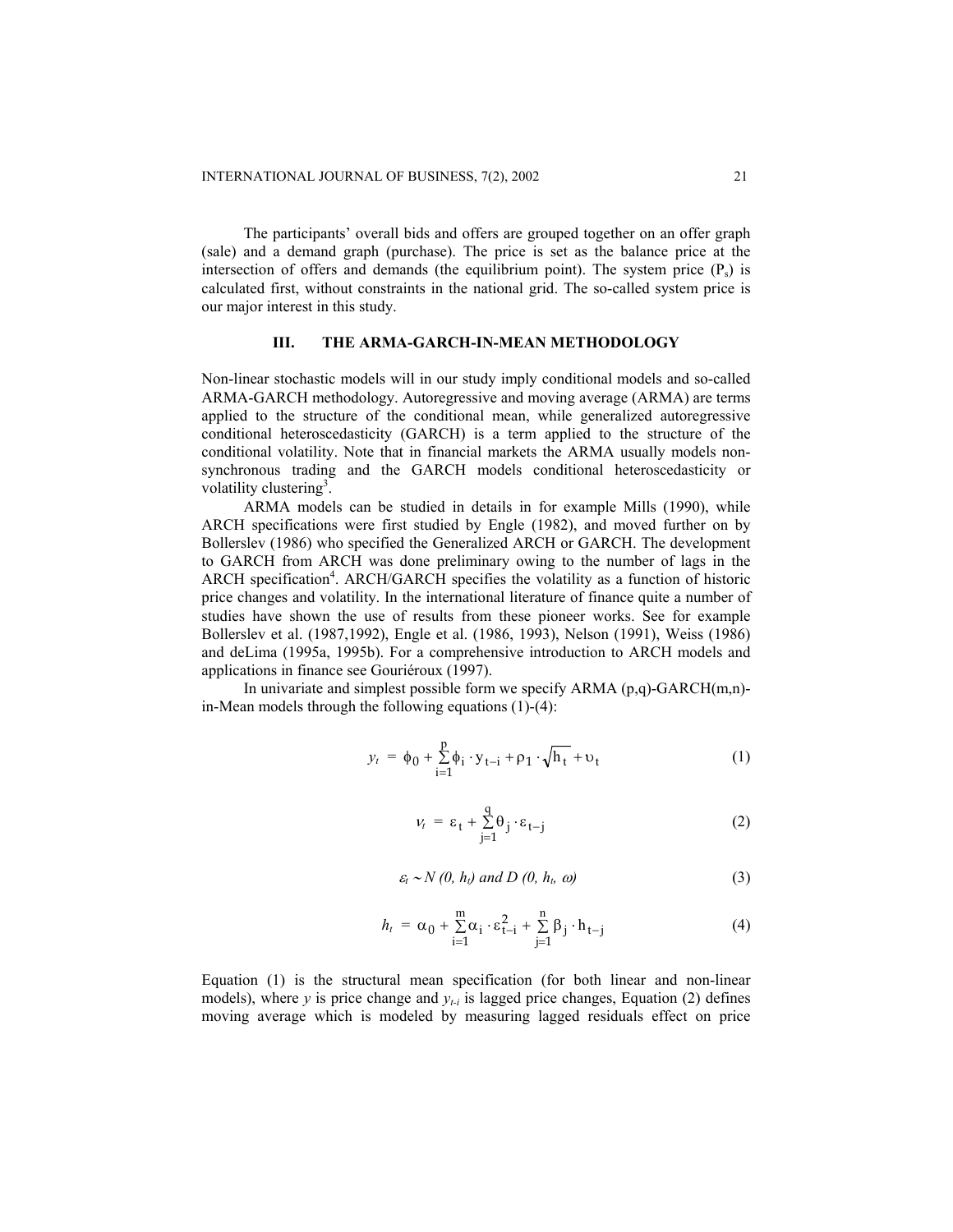The participants' overall bids and offers are grouped together on an offer graph (sale) and a demand graph (purchase). The price is set as the balance price at the intersection of offers and demands (the equilibrium point). The system price  $(P_s)$  is calculated first, without constraints in the national grid. The so-called system price is our major interest in this study.

# **III. THE ARMA-GARCH-IN-MEAN METHODOLOGY**

Non-linear stochastic models will in our study imply conditional models and so-called ARMA-GARCH methodology. Autoregressive and moving average (ARMA) are terms applied to the structure of the conditional mean, while generalized autoregressive conditional heteroscedasticity (GARCH) is a term applied to the structure of the conditional volatility. Note that in financial markets the ARMA usually models nonsynchronous trading and the GARCH models conditional heteroscedasticity or volatility clustering<sup>3</sup>.

ARMA models can be studied in details in for example Mills (1990), while ARCH specifications were first studied by Engle (1982), and moved further on by Bollerslev (1986) who specified the Generalized ARCH or GARCH. The development to GARCH from ARCH was done preliminary owing to the number of lags in the ARCH specification<sup>4</sup>. ARCH/GARCH specifies the volatility as a function of historic price changes and volatility. In the international literature of finance quite a number of studies have shown the use of results from these pioneer works. See for example Bollerslev et al. (1987,1992), Engle et al. (1986, 1993), Nelson (1991), Weiss (1986) and deLima (1995a, 1995b). For a comprehensive introduction to ARCH models and applications in finance see Gouriéroux (1997).

In univariate and simplest possible form we specify ARMA (p,q)-GARCH(m,n) in-Mean models through the following equations (1)-(4):

$$
y_{t} = \phi_{0} + \sum_{i=1}^{p} \phi_{i} \cdot y_{t-i} + \rho_{1} \cdot \sqrt{h_{t}} + \upsilon_{t}
$$
 (1)

$$
v_t = \varepsilon_t + \sum_{j=1}^q \theta_j \cdot \varepsilon_{t-j}
$$
 (2)

$$
\varepsilon_t \sim N(0, h_t) \text{ and } D(0, h_t, \omega) \tag{3}
$$

$$
h_{t} = \alpha_{0} + \sum_{i=1}^{m} \alpha_{i} \cdot \varepsilon_{t-i}^{2} + \sum_{j=1}^{n} \beta_{j} \cdot h_{t-j}
$$
(4)

Equation (1) is the structural mean specification (for both linear and non-linear models), where *y* is price change and  $y_{t-i}$  is lagged price changes, Equation (2) defines moving average which is modeled by measuring lagged residuals effect on price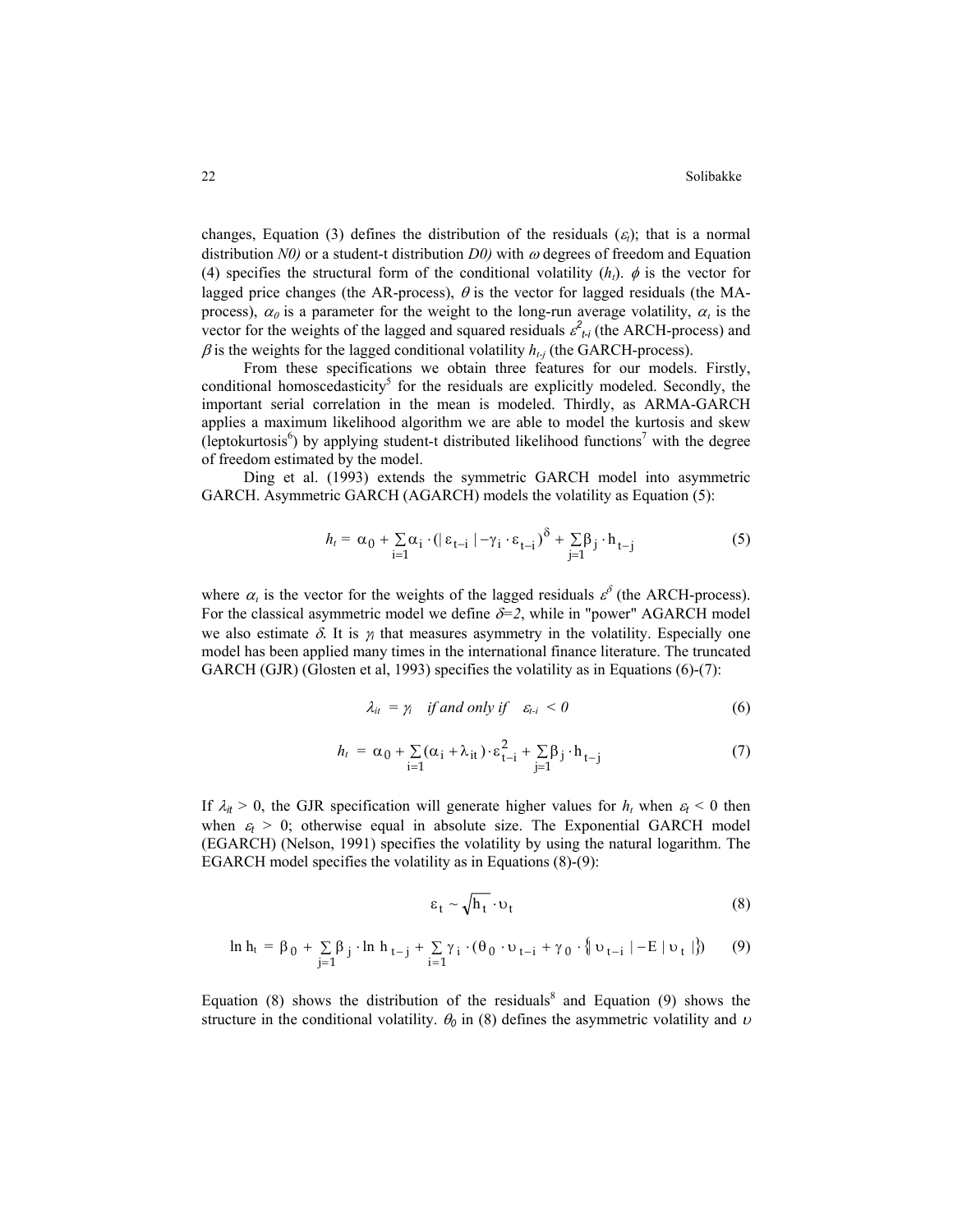changes, Equation (3) defines the distribution of the residuals  $(\varepsilon)$ ; that is a normal distribution  $N0$ ) or a student-t distribution  $D0$ ) with  $\omega$  degrees of freedom and Equation (4) specifies the structural form of the conditional volatility  $(h_t)$ .  $\phi$  is the vector for lagged price changes (the AR-process),  $\theta$  is the vector for lagged residuals (the MAprocess),  $\alpha_0$  is a parameter for the weight to the long-run average volatility,  $\alpha_i$  is the vector for the weights of the lagged and squared residuals  $\varepsilon_{t}^2$  (the ARCH-process) and  $\beta$  is the weights for the lagged conditional volatility  $h_{t-j}$  (the GARCH-process).

From these specifications we obtain three features for our models. Firstly, conditional homoscedasticity<sup>5</sup> for the residuals are explicitly modeled. Secondly, the important serial correlation in the mean is modeled. Thirdly, as ARMA-GARCH applies a maximum likelihood algorithm we are able to model the kurtosis and skew (leptokurtosis<sup>6</sup>) by applying student-t distributed likelihood functions<sup>7</sup> with the degree of freedom estimated by the model.

Ding et al. (1993) extends the symmetric GARCH model into asymmetric GARCH. Asymmetric GARCH (AGARCH) models the volatility as Equation (5):

$$
h_t = \alpha_0 + \sum_{i=1}^{\infty} \alpha_i \cdot (\mid \varepsilon_{t-i} \mid -\gamma_i \cdot \varepsilon_{t-i})^{\delta} + \sum_{j=1}^{\infty} \beta_j \cdot h_{t-j}
$$
 (5)

where  $\alpha_i$  is the vector for the weights of the lagged residuals  $\varepsilon^{\delta}$  (the ARCH-process). For the classical asymmetric model we define  $\delta=2$ , while in "power" AGARCH model we also estimate  $\delta$ . It is  $\gamma_i$  that measures asymmetry in the volatility. Especially one model has been applied many times in the international finance literature. The truncated GARCH (GJR) (Glosten et al, 1993) specifies the volatility as in Equations (6)-(7):

$$
\lambda_{it} = \gamma_i \quad \text{if and only if} \quad \varepsilon_{t-i} < 0 \tag{6}
$$

$$
h_t = \alpha_0 + \sum_{i=1}^{\infty} (\alpha_i + \lambda_{it}) \cdot \varepsilon_{t-i}^2 + \sum_{j=1}^{\infty} \beta_j \cdot h_{t-j}
$$
 (7)

If  $\lambda_t > 0$ , the GJR specification will generate higher values for  $h_t$  when  $\varepsilon_t < 0$  then when  $\varepsilon_t > 0$ ; otherwise equal in absolute size. The Exponential GARCH model (EGARCH) (Nelson, 1991) specifies the volatility by using the natural logarithm. The EGARCH model specifies the volatility as in Equations (8)-(9):

$$
\varepsilon_t \sim \sqrt{h_t} \cdot \upsilon_t \tag{8}
$$

$$
\ln h_t = \beta_0 + \sum_{j=1}^n \beta_j \cdot \ln h_{t-j} + \sum_{i=1}^n \gamma_i \cdot (\theta_0 \cdot \upsilon_{t-i} + \gamma_0 \cdot {\n \left\{ \nu_{t-i} \mid -E \mid \upsilon_t \mid \right\}})
$$
 (9)

Equation (8) shows the distribution of the residuals<sup>8</sup> and Equation (9) shows the structure in the conditional volatility.  $\theta_0$  in (8) defines the asymmetric volatility and  $\upsilon$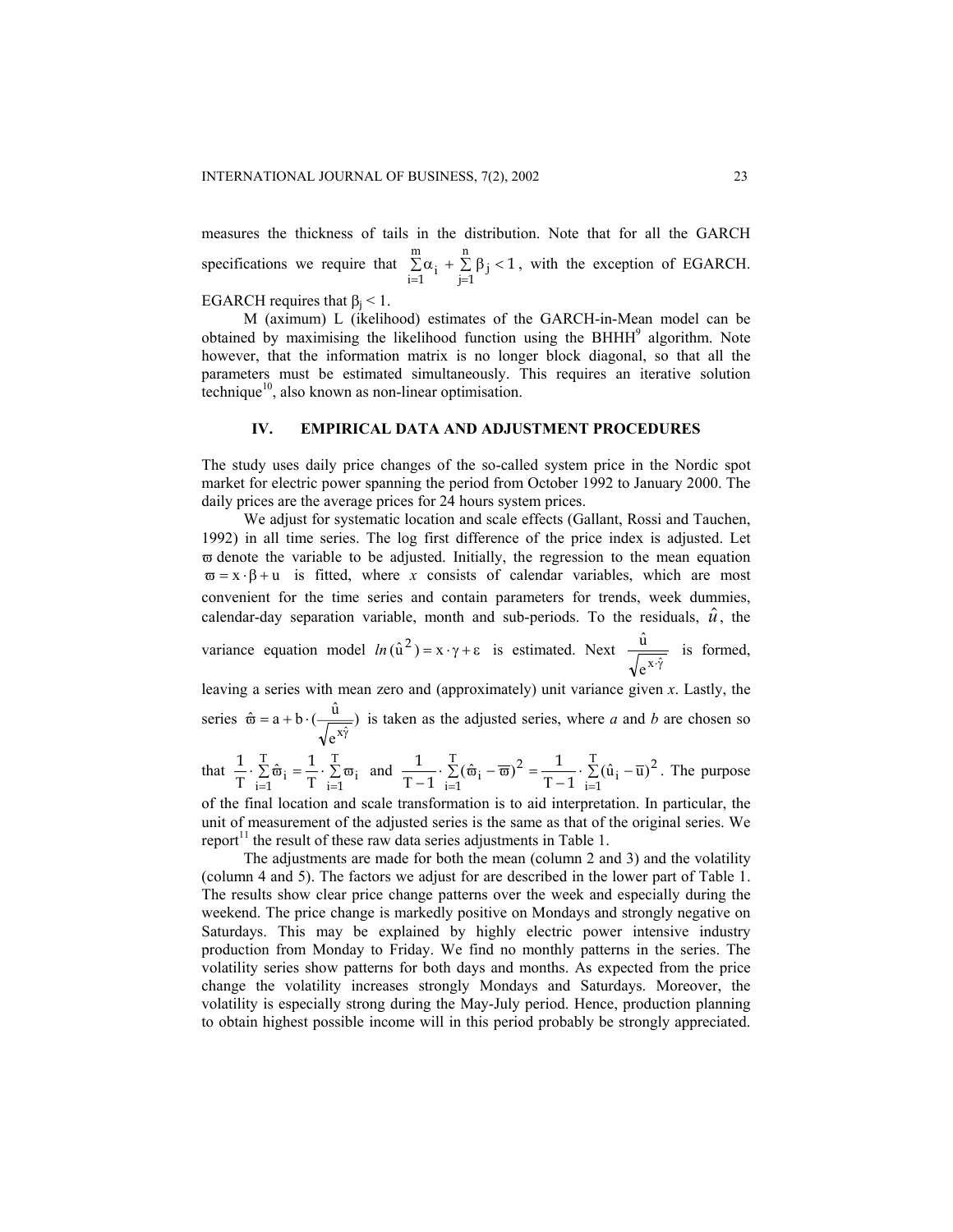measures the thickness of tails in the distribution. Note that for all the GARCH specifications we require that  $\sum \alpha_i + \sum \beta_i < 1$ , with the exception of EGARCH. 1 **j=1**  $\sum \alpha_i + \sum \beta_i$  $=1$  j= m i n  $i + \sum_{j=1}^{n} p_j$ 

EGARCH requires that  $\beta_j < 1$ .

M (aximum) L (ikelihood) estimates of the GARCH-in-Mean model can be obtained by maximising the likelihood function using the BHHH<sup>9</sup> algorithm. Note however, that the information matrix is no longer block diagonal, so that all the parameters must be estimated simultaneously. This requires an iterative solution technique $10$ , also known as non-linear optimisation.

# **IV. EMPIRICAL DATA AND ADJUSTMENT PROCEDURES**

The study uses daily price changes of the so-called system price in the Nordic spot market for electric power spanning the period from October 1992 to January 2000. The daily prices are the average prices for 24 hours system prices.

We adjust for systematic location and scale effects (Gallant, Rossi and Tauchen, 1992) in all time series. The log first difference of the price index is adjusted. Let  $\overline{\omega}$  denote the variable to be adjusted. Initially, the regression to the mean equation  $\overline{\omega} = x \cdot \beta + u$  is fitted, where *x* consists of calendar variables, which are most convenient for the time series and contain parameters for trends, week dummies, calendar-day separation variable, month and sub-periods. To the residuals,  $\hat{u}$ , the

variance equation model  $ln(\hat{u}^2) = x \cdot \gamma + \varepsilon$  is estimated. Next  $e^{x\cdot\hat{\gamma}}$  $\frac{\hat{u}}{u}$  is formed,

leaving a series with mean zero and (approximately) unit variance given *x*. Lastly, the series  $\hat{\omega} = a + b \cdot (\frac{u}{\sqrt{u}})$  $\hat{\omega} = a + b \cdot (\frac{\hat{u}}{\sqrt{e^{x\hat{\gamma}}}})$  is taken as the adjusted series, where *a* and *b* are chosen so

that  $\frac{1}{m} \cdot \sum \hat{\omega}_i = \frac{1}{m} \cdot \sum \omega$  $=1$   $1$   $i=$ T  $\sum_{i=1}^{\infty} \overline{\omega}_i$ T  $\frac{1}{T} \cdot \sum_{i=1}^{T} \hat{\varpi}_i = \frac{1}{T} \cdot \sum_{i=1}^{T} \varpi_i$  and  $\frac{1}{T-1} \cdot \sum_{i=1}^{T} (\hat{\varpi}_i - \overline{\varpi})^2 = \frac{1}{T-1} \cdot \sum_{i=1}^{T} (\hat{u}_i - \overline{u})^2$ 1  $1 - 1$   $i=1$ 2 1 1  $\frac{1}{T-1} \cdot \sum_{i=1}^{T} (\hat{\varpi}_i - \overline{\varpi})^2 = \frac{1}{T-1} \cdot \sum_{i=1}^{T} (\hat{u}_i - \overline{u})$  $\sum_{i=1}$ (u<sub>i</sub> T  $\frac{1}{-1} \cdot \sum_{i=1}^{\infty} (\hat{\varpi}_i - \overline{\varpi})^2 = \frac{1}{T-1} \cdot \sum_{i=1}^{\infty} (\hat{u}_i - \overline{u})^2$ . The purpose

of the final location and scale transformation is to aid interpretation. In particular, the unit of measurement of the adjusted series is the same as that of the original series. We report $1$ <sup>11</sup> the result of these raw data series adjustments in Table 1.

The adjustments are made for both the mean (column 2 and 3) and the volatility (column 4 and 5). The factors we adjust for are described in the lower part of Table 1. The results show clear price change patterns over the week and especially during the weekend. The price change is markedly positive on Mondays and strongly negative on Saturdays. This may be explained by highly electric power intensive industry production from Monday to Friday. We find no monthly patterns in the series. The volatility series show patterns for both days and months. As expected from the price change the volatility increases strongly Mondays and Saturdays. Moreover, the volatility is especially strong during the May-July period. Hence, production planning to obtain highest possible income will in this period probably be strongly appreciated.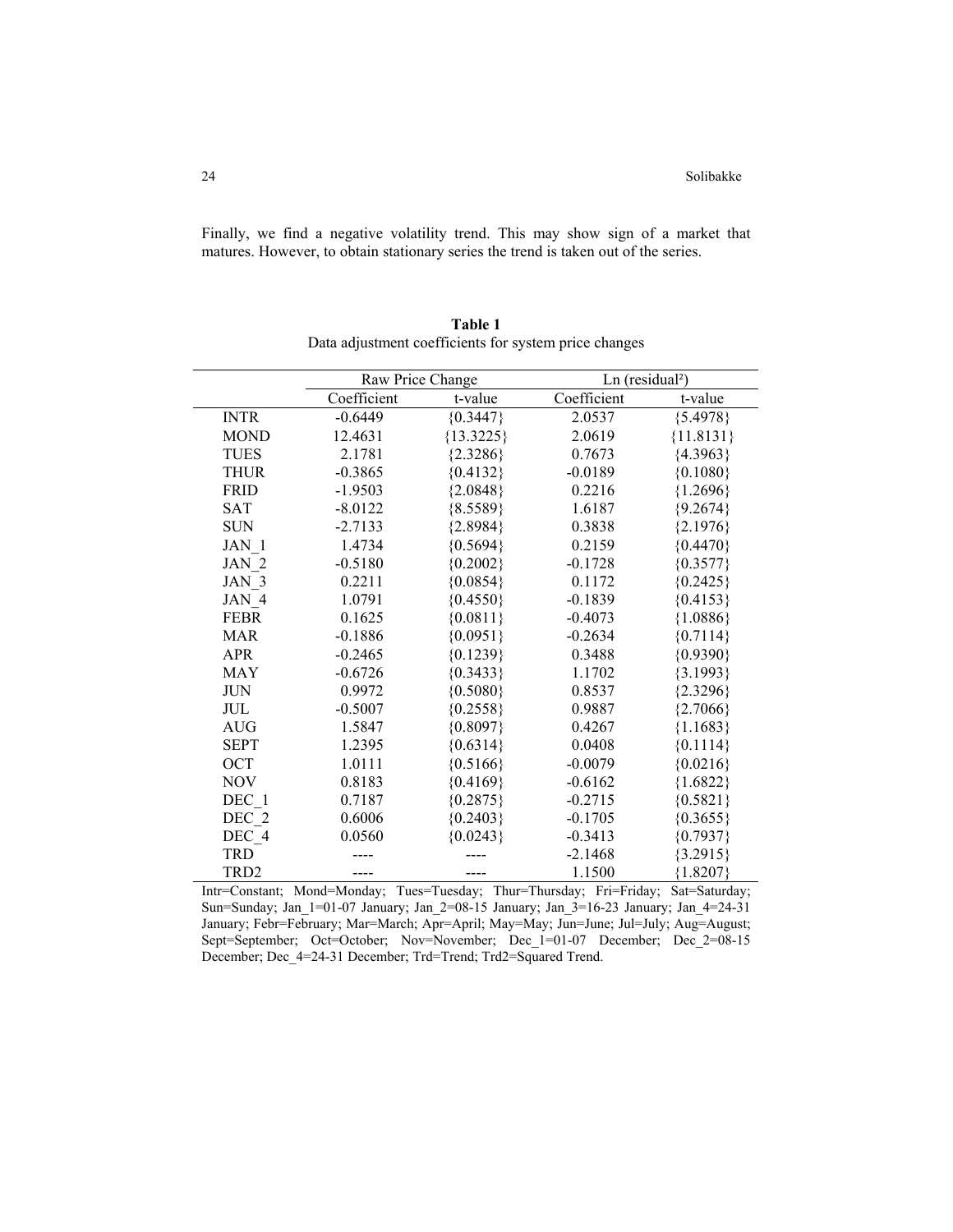Finally, we find a negative volatility trend. This may show sign of a market that matures. However, to obtain stationary series the trend is taken out of the series.

|                  | Raw Price Change |             | $Ln$ (residual <sup>2</sup> ) |             |
|------------------|------------------|-------------|-------------------------------|-------------|
|                  | Coefficient      | t-value     | Coefficient                   | t-value     |
| <b>INTR</b>      | $-0.6449$        | ${0.3447}$  | 2.0537                        | ${5.4978}$  |
| <b>MOND</b>      | 12.4631          | ${13.3225}$ | 2.0619                        | ${11.8131}$ |
| <b>TUES</b>      | 2.1781           | ${2.3286}$  | 0.7673                        | ${4.3963}$  |
| <b>THUR</b>      | $-0.3865$        | ${0.4132}$  | $-0.0189$                     | ${0.1080}$  |
| <b>FRID</b>      | $-1.9503$        | ${2.0848}$  | 0.2216                        | ${1.2696}$  |
| <b>SAT</b>       | $-8.0122$        | ${8.5589}$  | 1.6187                        | ${9.2674}$  |
| <b>SUN</b>       | $-2.7133$        | ${2.8984}$  | 0.3838                        | ${2.1976}$  |
| JAN 1            | 1.4734           | ${0.5694}$  | 0.2159                        | ${0.4470}$  |
| JAN 2            | $-0.5180$        | ${0.2002}$  | $-0.1728$                     | ${0.3577}$  |
| JAN 3            | 0.2211           | ${0.0854}$  | 0.1172                        | ${0.2425}$  |
| JAN 4            | 1.0791           | ${0.4550}$  | $-0.1839$                     | ${0.4153}$  |
| <b>FEBR</b>      | 0.1625           | ${0.0811}$  | $-0.4073$                     | ${1.0886}$  |
| <b>MAR</b>       | $-0.1886$        | ${0.0951}$  | $-0.2634$                     | ${0.7114}$  |
| <b>APR</b>       | $-0.2465$        | ${0.1239}$  | 0.3488                        | ${0.9390}$  |
| <b>MAY</b>       | $-0.6726$        | ${0.3433}$  | 1.1702                        | ${3.1993}$  |
| <b>JUN</b>       | 0.9972           | ${0.5080}$  | 0.8537                        | ${2.3296}$  |
| JUL              | $-0.5007$        | ${0.2558}$  | 0.9887                        | ${2.7066}$  |
| <b>AUG</b>       | 1.5847           | ${0.8097}$  | 0.4267                        | ${1.1683}$  |
| <b>SEPT</b>      | 1.2395           | ${0.6314}$  | 0.0408                        | ${0.1114}$  |
| OCT              | 1.0111           | ${0.5166}$  | $-0.0079$                     | ${0.0216}$  |
| <b>NOV</b>       | 0.8183           | ${0.4169}$  | $-0.6162$                     | ${1.6822}$  |
| DEC 1            | 0.7187           | ${0.2875}$  | $-0.2715$                     | ${0.5821}$  |
| DEC 2            | 0.6006           | ${0.2403}$  | $-0.1705$                     | ${0.3655}$  |
| DEC_4            | 0.0560           | ${0.0243}$  | $-0.3413$                     | ${0.7937}$  |
| <b>TRD</b>       |                  |             | $-2.1468$                     | ${3.2915}$  |
| TRD <sub>2</sub> |                  | ----        | 1.1500                        | ${1.8207}$  |

**Table 1**  Data adjustment coefficients for system price changes

Intr=Constant; Mond=Monday; Tues=Tuesday; Thur=Thursday; Fri=Friday; Sat=Saturday; Sun=Sunday; Jan\_1=01-07 January; Jan\_2=08-15 January; Jan\_3=16-23 January; Jan\_4=24-31 January; Febr=February; Mar=March; Apr=April; May=May; Jun=June; Jul=July; Aug=August; Sept=September; Oct=October; Nov=November; Dec\_1=01-07 December; Dec\_2=08-15 December; Dec\_4=24-31 December; Trd=Trend; Trd2=Squared Trend.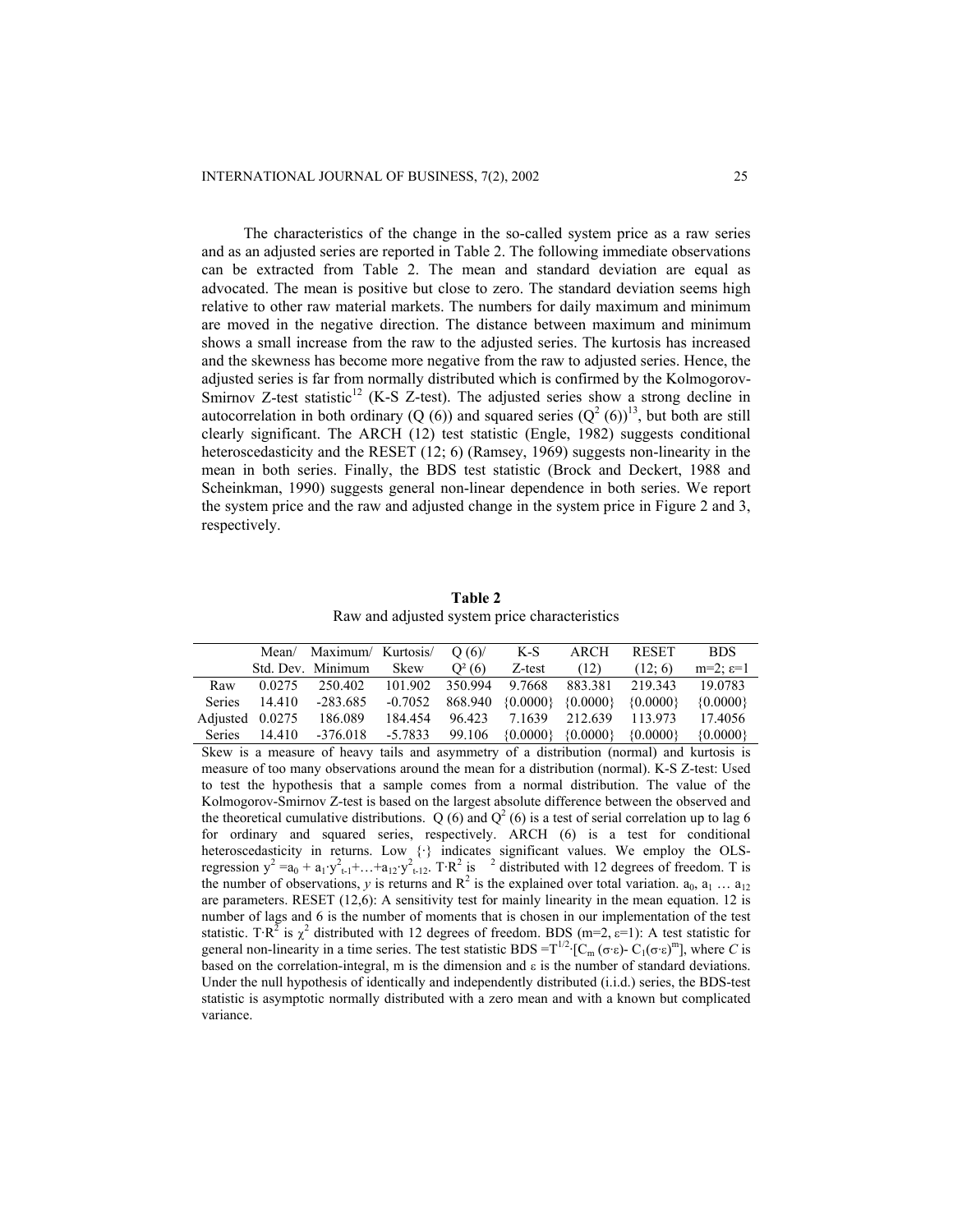The characteristics of the change in the so-called system price as a raw series and as an adjusted series are reported in Table 2. The following immediate observations can be extracted from Table 2. The mean and standard deviation are equal as advocated. The mean is positive but close to zero. The standard deviation seems high relative to other raw material markets. The numbers for daily maximum and minimum are moved in the negative direction. The distance between maximum and minimum shows a small increase from the raw to the adjusted series. The kurtosis has increased and the skewness has become more negative from the raw to adjusted series. Hence, the adjusted series is far from normally distributed which is confirmed by the Kolmogorov-Smirnov Z-test statistic<sup>12</sup> (K-S Z-test). The adjusted series show a strong decline in autocorrelation in both ordinary (Q (6)) and squared series  $(Q^2(6))^{13}$ , but both are still clearly significant. The ARCH (12) test statistic (Engle, 1982) suggests conditional heteroscedasticity and the RESET (12; 6) (Ramsey, 1969) suggests non-linearity in the mean in both series. Finally, the BDS test statistic (Brock and Deckert, 1988 and Scheinkman, 1990) suggests general non-linear dependence in both series. We report the system price and the raw and adjusted change in the system price in Figure 2 and 3, respectively.

**Table 2** Raw and adjusted system price characteristics

|        |                 | Mean/ Maximum/ Kurtosis/                       |         | O(6)     | K-S                   | ARCH                                         | <b>RESET</b>                                               | <b>BDS</b>              |
|--------|-----------------|------------------------------------------------|---------|----------|-----------------------|----------------------------------------------|------------------------------------------------------------|-------------------------|
|        |                 | Std. Dev. Minimum                              | Skew    | $Q^2(6)$ | Z-test                | (12)                                         | (12; 6)                                                    | $m=2$ ; $\varepsilon=1$ |
| Raw    | 0.0275          | 250.402 101.902 350.994 9.7668 883.381 219.343 |         |          |                       |                                              |                                                            | 19.0783                 |
| Series | 14.410          | -283.685                                       |         |          |                       | $-0.7052$ 868.940 {0.0000} {0.0000} {0.0000} |                                                            | $\{0.0000\}$            |
|        |                 | Adjusted 0.0275 186.089                        | 184.454 |          | 96.423 7.1639 212.639 |                                              | 113.973                                                    | 17.4056                 |
|        | Series $14.410$ | -376.018 -5.7833                               |         |          |                       |                                              | 99.106 $\{0.0000\}$ $\{0.0000\}$ $\{0.0000\}$ $\{0.0000\}$ |                         |

Skew is a measure of heavy tails and asymmetry of a distribution (normal) and kurtosis is measure of too many observations around the mean for a distribution (normal). K-S Z-test: Used to test the hypothesis that a sample comes from a normal distribution. The value of the Kolmogorov-Smirnov Z-test is based on the largest absolute difference between the observed and the theoretical cumulative distributions. Q (6) and  $Q^2$  (6) is a test of serial correlation up to lag 6 for ordinary and squared series, respectively. ARCH (6) is a test for conditional heteroscedasticity in returns. Low {·} indicates significant values. We employ the OLSregression  $y^2 = a_0 + a_1 y_{t-1}^2 + \ldots + a_{12} y_{t-12}^2$ . T·R<sup>2</sup> is <sup>2</sup> distributed with 12 degrees of freedom. T is the number of observations, *y* is returns and  $R^2$  is the explained over total variation.  $a_0, a_1 \dots a_{12}$ are parameters. RESET (12,6): A sensitivity test for mainly linearity in the mean equation. 12 is number of lags and 6 is the number of moments that is chosen in our implementation of the test statistic. T·R<sup>2</sup> is  $\chi^2$  distributed with 12 degrees of freedom. BDS (m=2,  $\varepsilon$ =1): A test statistic for general non-linearity in a time series. The test statistic BDS =  $T^{1/2}$  [C<sub>m</sub> (σ·ε)- C<sub>1</sub>(σ·ε)<sup>m</sup>], where *C* is based on the correlation-integral, m is the dimension and  $\varepsilon$  is the number of standard deviations. Under the null hypothesis of identically and independently distributed (i.i.d.) series, the BDS-test statistic is asymptotic normally distributed with a zero mean and with a known but complicated variance.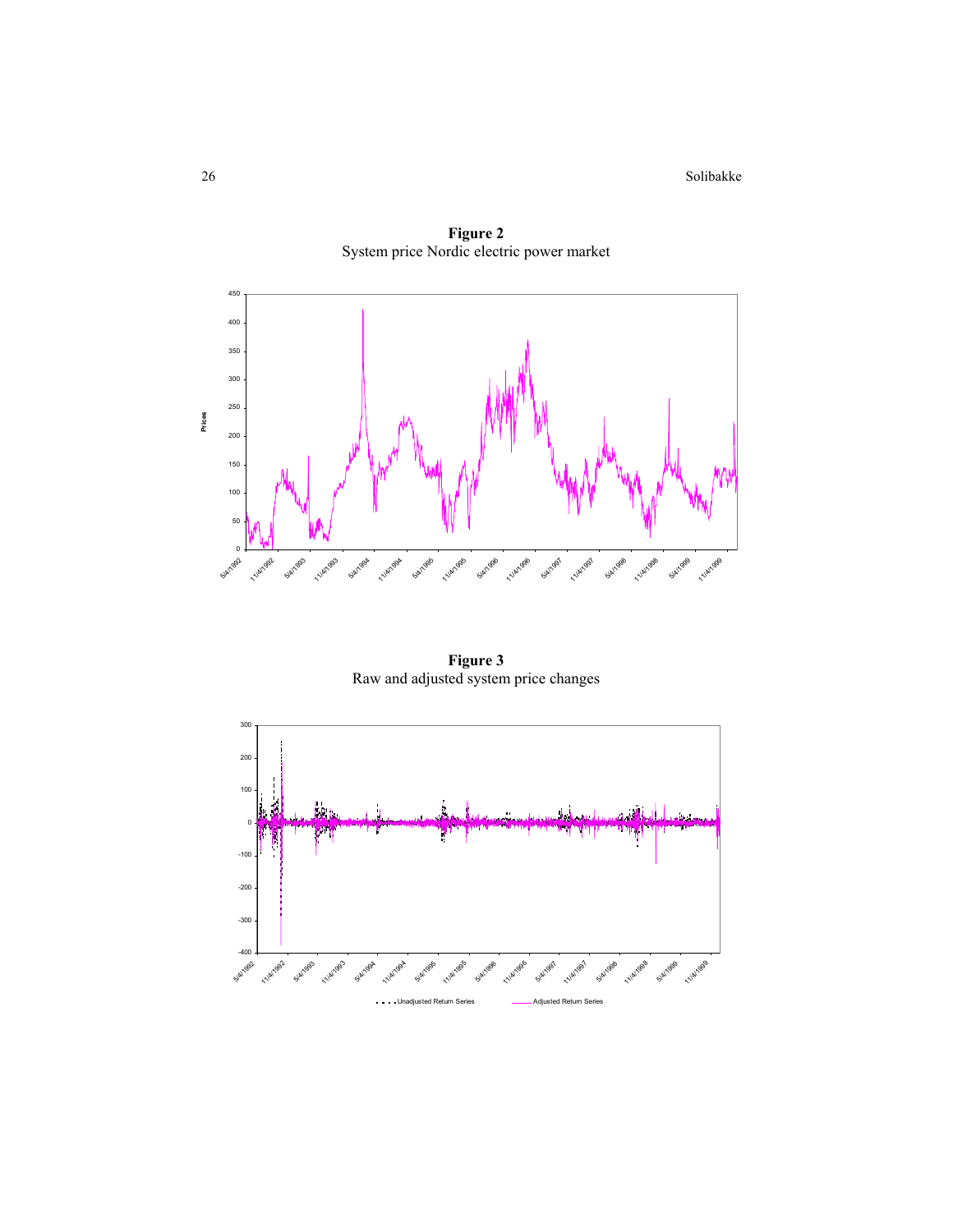26 Solibakke



**Figure 2**  System price Nordic electric power market

**Figure 3**  Raw and adjusted system price changes

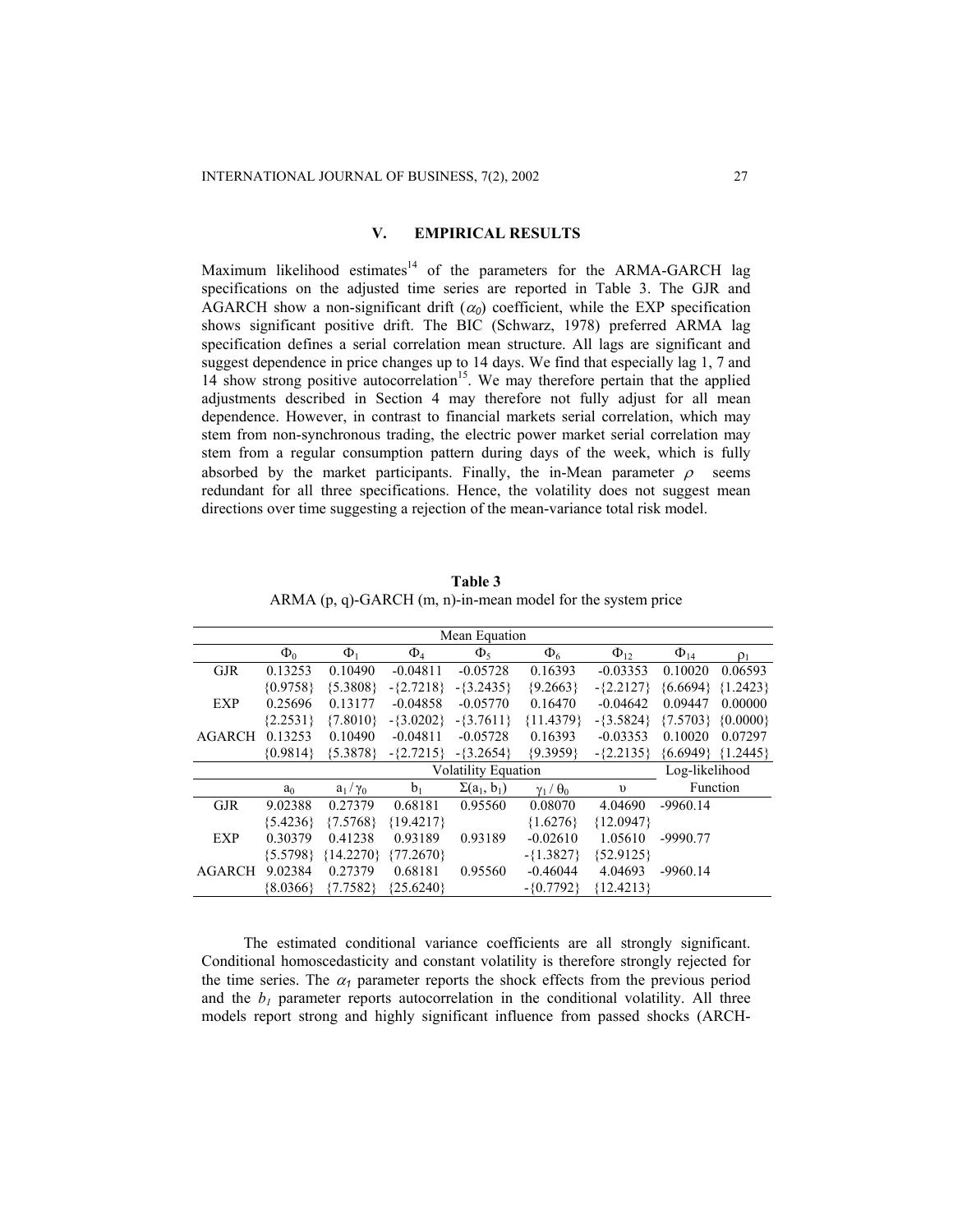### **V. EMPIRICAL RESULTS**

Maximum likelihood estimates<sup>14</sup> of the parameters for the ARMA-GARCH lag specifications on the adjusted time series are reported in Table 3. The GJR and AGARCH show a non-significant drift  $(\alpha_0)$  coefficient, while the EXP specification shows significant positive drift. The BIC (Schwarz, 1978) preferred ARMA lag specification defines a serial correlation mean structure. All lags are significant and suggest dependence in price changes up to 14 days. We find that especially lag 1, 7 and 14 show strong positive autocorrelation<sup>15</sup>. We may therefore pertain that the applied adjustments described in Section 4 may therefore not fully adjust for all mean dependence. However, in contrast to financial markets serial correlation, which may stem from non-synchronous trading, the electric power market serial correlation may stem from a regular consumption pattern during days of the week, which is fully absorbed by the market participants. Finally, the in-Mean parameter  $\rho$  seems redundant for all three specifications. Hence, the volatility does not suggest mean directions over time suggesting a rejection of the mean-variance total risk model.

| ARMA $(p, q)$ -GARCH $(m, n)$ -in-mean model for the system price |    |                     |                |          |             |             |  |  |  |
|-------------------------------------------------------------------|----|---------------------|----------------|----------|-------------|-------------|--|--|--|
| Mean Equation                                                     |    |                     |                |          |             |             |  |  |  |
| $\Phi_0$                                                          | Φ, | $\Phi$ <sub>4</sub> | $\Phi_{\rm S}$ | $\Phi_6$ | $\Phi_{12}$ | $\Phi_{14}$ |  |  |  |

**Table 3**

|               |                            |                |              | www.com            |                     |              |                       |                |
|---------------|----------------------------|----------------|--------------|--------------------|---------------------|--------------|-----------------------|----------------|
|               | $\Phi_0$                   | $\Phi_1$       | $\Phi_4$     | $\Phi_{5}$         | $\Phi_6$            | $\Phi_{12}$  | $\Phi_{14}$           | $\rho_1$       |
| <b>GJR</b>    | 0.13253                    | 0.10490        | $-0.04811$   | $-0.05728$         | 0.16393             | $-0.03353$   | 0.10020               | 0.06593        |
|               | ${0.9758}$                 | ${5.3808}$     | $-$ {2.7218} | $-3.2435$          | ${9.2663}$          | $-$ {2.2127} | ${6.6694}$ ${1.2423}$ |                |
| <b>EXP</b>    | 0.25696                    | 0.13177        | $-0.04858$   | $-0.05770$         | 0.16470             | $-0.04642$   | 0.09447               | 0.00000        |
|               | ${2.2531}$                 | ${7.8010}$     | $-3.0202$    | $-3.7611$          | ${11.4379}$         | $-3.5824$    | ${7.5703}$ {0.0000}   |                |
| <b>AGARCH</b> | 0.13253                    | 0.10490        | $-0.04811$   | $-0.05728$         | 0.16393             | $-0.03353$   | 0.10020               | 0.07297        |
|               | ${0.9814}$                 | ${5.3878}$     | $-$ {2.7215} | $-3.2654$          | ${9.3959}$          | $-$ {2.2135} | ${6.6949}$ ${1.2445}$ |                |
|               | <b>Volatility Equation</b> |                |              |                    |                     |              |                       | Log-likelihood |
|               | a <sub>0</sub>             | $a_1/\gamma_0$ | $b_1$        | $\Sigma(a_1, b_1)$ | $\gamma_1/\theta_0$ | $\upsilon$   | Function              |                |
| <b>GJR</b>    | 9.02388                    | 0.27379        | 0.68181      | 0.95560            | 0.08070             | 4.04690      | $-9960.14$            |                |
|               | ${5.4236}$                 | ${7.5768}$     | ${19.4217}$  |                    | ${1.6276}$          | ${12.0947}$  |                       |                |
| <b>EXP</b>    | 0.30379                    | 0.41238        | 0.93189      | 0.93189            | $-0.02610$          | 1.05610      | $-9990.77$            |                |
|               | ${5.5798}$                 | ${14.2270}$    | ${77.2670}$  |                    | $-{1.3827}$         | ${52.9125}$  |                       |                |
| <b>AGARCH</b> | 9.02384                    | 0.27379        | 0.68181      | 0.95560            | $-0.46044$          | 4.04693      | $-9960.14$            |                |
|               | ${8.0366}$                 | ${7.7582}$     | ${25.6240}$  |                    | $-$ {0.7792}        | ${12.4213}$  |                       |                |

The estimated conditional variance coefficients are all strongly significant. Conditional homoscedasticity and constant volatility is therefore strongly rejected for the time series. The  $\alpha_1$  parameter reports the shock effects from the previous period and the  $b_l$  parameter reports autocorrelation in the conditional volatility. All three models report strong and highly significant influence from passed shocks (ARCH-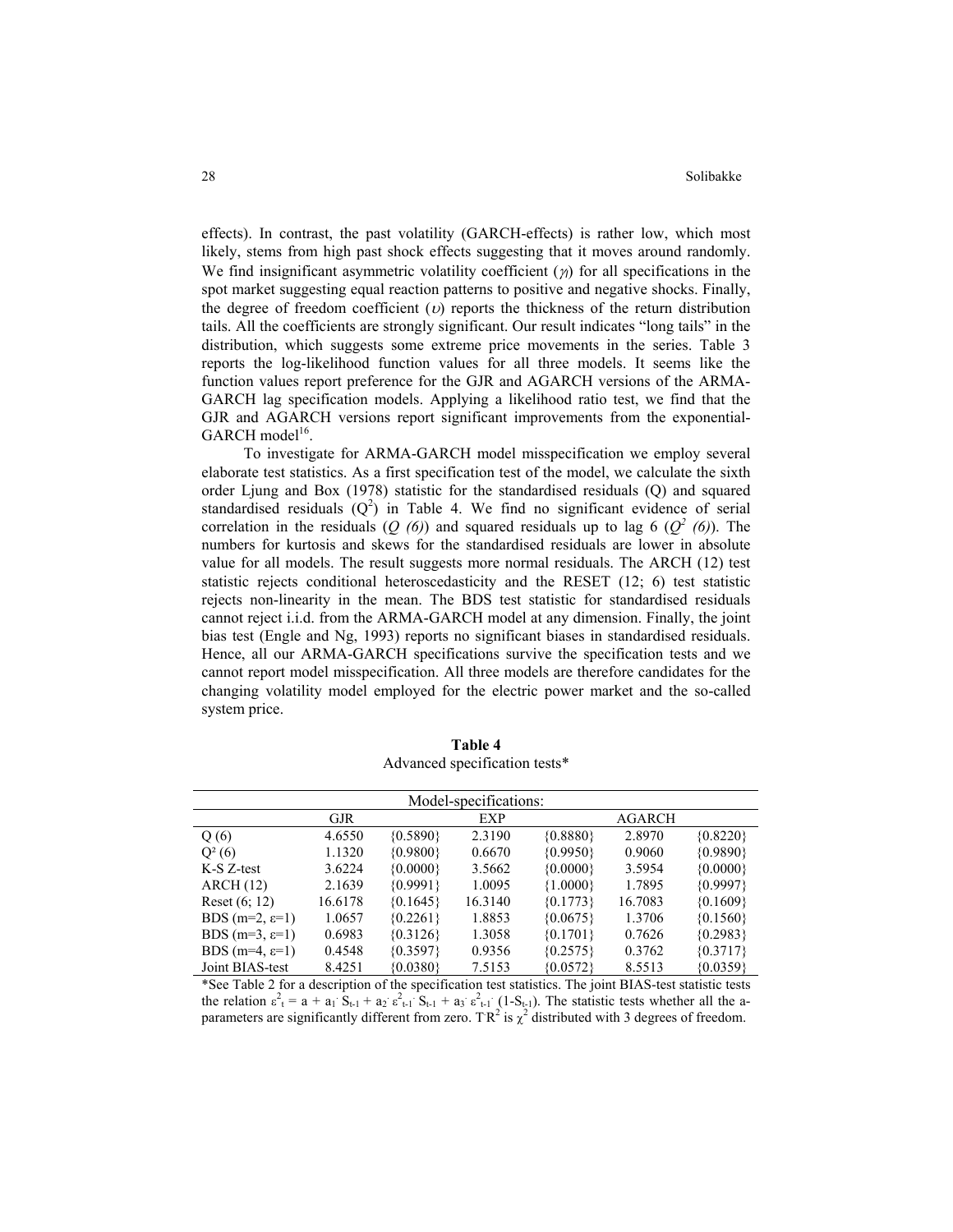effects). In contrast, the past volatility (GARCH-effects) is rather low, which most likely, stems from high past shock effects suggesting that it moves around randomly. We find insignificant asymmetric volatility coefficient (<sup>γ</sup>*I*) for all specifications in the spot market suggesting equal reaction patterns to positive and negative shocks. Finally, the degree of freedom coefficient  $(v)$  reports the thickness of the return distribution tails. All the coefficients are strongly significant. Our result indicates "long tails" in the distribution, which suggests some extreme price movements in the series. Table 3 reports the log-likelihood function values for all three models. It seems like the function values report preference for the GJR and AGARCH versions of the ARMA-GARCH lag specification models. Applying a likelihood ratio test, we find that the GJR and AGARCH versions report significant improvements from the exponential- $GARCH \ model<sup>16</sup>.$ 

To investigate for ARMA-GARCH model misspecification we employ several elaborate test statistics. As a first specification test of the model, we calculate the sixth order Ljung and Box (1978) statistic for the standardised residuals (Q) and squared standardised residuals  $(Q^2)$  in Table 4. We find no significant evidence of serial correlation in the residuals  $(Q(6))$  and squared residuals up to lag 6  $(Q^2(6))$ . The numbers for kurtosis and skews for the standardised residuals are lower in absolute value for all models. The result suggests more normal residuals. The ARCH (12) test statistic rejects conditional heteroscedasticity and the RESET (12; 6) test statistic rejects non-linearity in the mean. The BDS test statistic for standardised residuals cannot reject i.i.d. from the ARMA-GARCH model at any dimension. Finally, the joint bias test (Engle and Ng, 1993) reports no significant biases in standardised residuals. Hence, all our ARMA-GARCH specifications survive the specification tests and we cannot report model misspecification. All three models are therefore candidates for the changing volatility model employed for the electric power market and the so-called system price.

| Model-specifications:       |            |            |         |            |               |            |  |  |  |
|-----------------------------|------------|------------|---------|------------|---------------|------------|--|--|--|
|                             | <b>GJR</b> |            | EXP     |            | <b>AGARCH</b> |            |  |  |  |
| Q(6)                        | 4.6550     | ${0.5890}$ | 2.3190  | ${0.8880}$ | 2.8970        | ${0.8220}$ |  |  |  |
| $Q^2(6)$                    | 1.1320     | ${0.9800}$ | 0.6670  | ${0.9950}$ | 0.9060        | ${0.9890}$ |  |  |  |
| K-S Z-test                  | 3.6224     | ${0.0000}$ | 3.5662  | ${0.0000}$ | 3.5954        | ${0.0000}$ |  |  |  |
| ARCH(12)                    | 2.1639     | ${0.9991}$ | 1.0095  | ${1.0000}$ | 1.7895        | ${0.9997}$ |  |  |  |
| Reset $(6; 12)$             | 16.6178    | ${0.1645}$ | 16.3140 | ${0.1773}$ | 16.7083       | ${0.1609}$ |  |  |  |
| BDS $(m=2, \varepsilon=1)$  | 1.0657     | ${0.2261}$ | 1.8853  | ${0.0675}$ | 1.3706        | ${0.1560}$ |  |  |  |
| BDS (m=3, $\varepsilon$ =1) | 0.6983     | ${0.3126}$ | 1.3058  | ${0.1701}$ | 0.7626        | ${0.2983}$ |  |  |  |
| BDS $(m=4, \varepsilon=1)$  | 0.4548     | ${0.3597}$ | 0.9356  | ${0.2575}$ | 0.3762        | ${0.3717}$ |  |  |  |
| Joint BIAS-test             | 8.4251     | ${0.0380}$ | 7.5153  | ${0.0572}$ | 8.5513        | ${0.0359}$ |  |  |  |

**Table 4**  Advanced specification tests\*

\*See Table 2 for a description of the specification test statistics. The joint BIAS-test statistic tests the relation  $\varepsilon_1^2 = a + a_1 S_{t-1} + a_2 \varepsilon_{t-1}^2 S_{t-1} + a_3 \varepsilon_{t-1}^2 (1 - S_{t-1})$ . The statistic tests whether all the aparameters are significantly different from zero. TR<sup>2</sup> is  $\chi^2$  distributed with 3 degrees of freedom.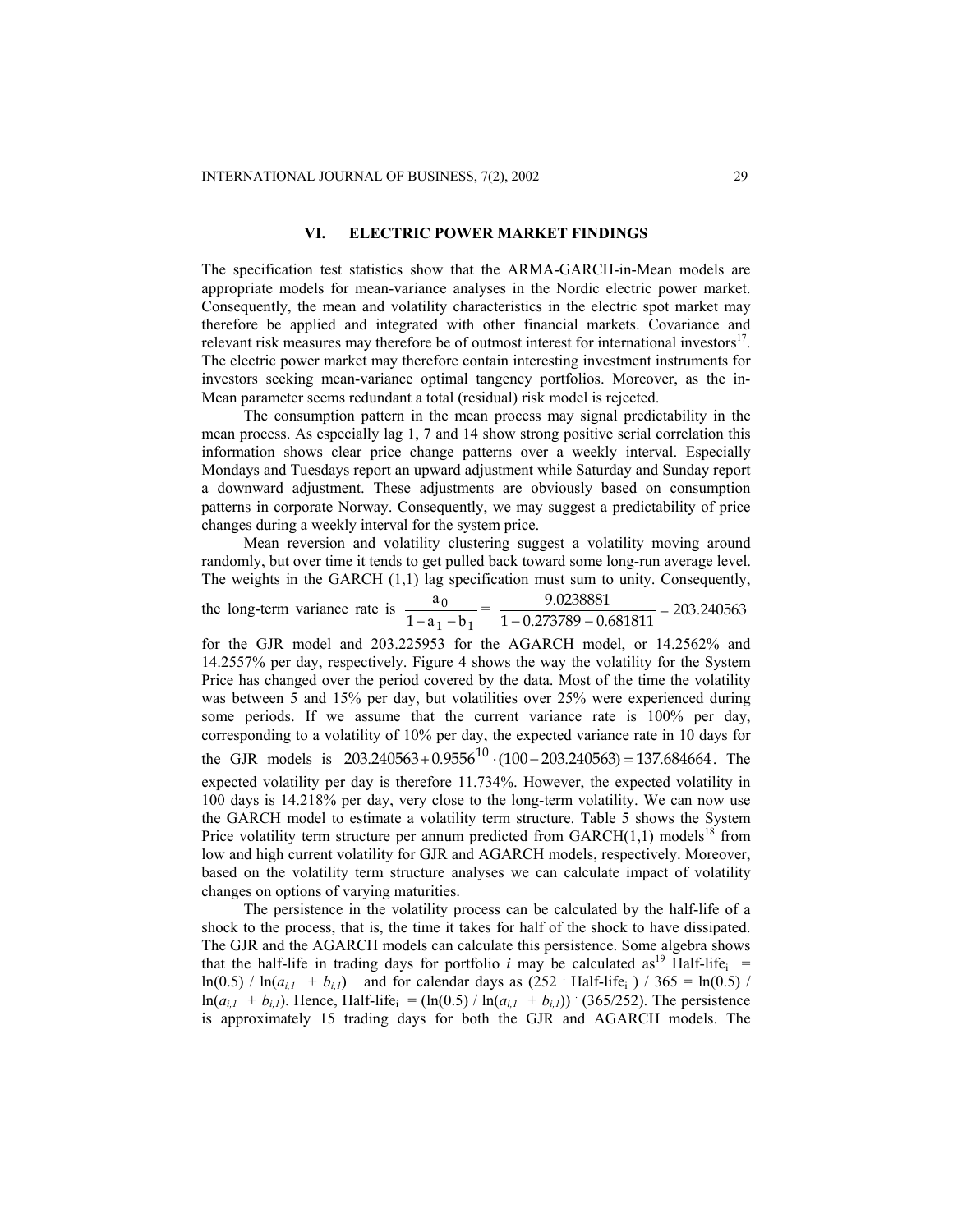#### **VI. ELECTRIC POWER MARKET FINDINGS**

The specification test statistics show that the ARMA-GARCH-in-Mean models are appropriate models for mean-variance analyses in the Nordic electric power market. Consequently, the mean and volatility characteristics in the electric spot market may therefore be applied and integrated with other financial markets. Covariance and relevant risk measures may therefore be of outmost interest for international investors<sup>17</sup>. The electric power market may therefore contain interesting investment instruments for investors seeking mean-variance optimal tangency portfolios. Moreover, as the in-Mean parameter seems redundant a total (residual) risk model is rejected.

The consumption pattern in the mean process may signal predictability in the mean process. As especially lag 1, 7 and 14 show strong positive serial correlation this information shows clear price change patterns over a weekly interval. Especially Mondays and Tuesdays report an upward adjustment while Saturday and Sunday report a downward adjustment. These adjustments are obviously based on consumption patterns in corporate Norway. Consequently, we may suggest a predictability of price changes during a weekly interval for the system price.

Mean reversion and volatility clustering suggest a volatility moving around randomly, but over time it tends to get pulled back toward some long-run average level. The weights in the GARCH (1,1) lag specification must sum to unity. Consequently,

the long-term variance rate is  $1 - 01$  $\boldsymbol{0}$  $1 - a_1 - b$  $\frac{a_0}{-a_1 - b_1} = \frac{9.0238881}{1 - 0.273789 - 0.681811} = 203.240563$ 

the GJR models is  $203.240563 + 0.9556^{10} \cdot (100 - 203.240563) = 137.684664$ . The for the GJR model and 203.225953 for the AGARCH model, or 14.2562% and 14.2557% per day, respectively. Figure 4 shows the way the volatility for the System Price has changed over the period covered by the data. Most of the time the volatility was between 5 and 15% per day, but volatilities over 25% were experienced during some periods. If we assume that the current variance rate is 100% per day, corresponding to a volatility of 10% per day, the expected variance rate in 10 days for expected volatility per day is therefore 11.734%. However, the expected volatility in 100 days is 14.218% per day, very close to the long-term volatility. We can now use the GARCH model to estimate a volatility term structure. Table 5 shows the System Price volatility term structure per annum predicted from  $GARCH(1,1)$  models<sup>18</sup> from low and high current volatility for GJR and AGARCH models, respectively. Moreover, based on the volatility term structure analyses we can calculate impact of volatility changes on options of varying maturities.

The persistence in the volatility process can be calculated by the half-life of a shock to the process, that is, the time it takes for half of the shock to have dissipated. The GJR and the AGARCH models can calculate this persistence. Some algebra shows that the half-life in trading days for portfolio *i* may be calculated as<sup>19</sup> Half-life<sub>i</sub> =  $ln(0.5)$  /  $ln(a_{i,l} + b_{i,l})$  and for calendar days as  $(252$  Half-life<sub>i</sub> ) / 365 =  $ln(0.5)$  /  $ln(a_{i,l} + b_{i,l})$ . Hence, Half-life<sub>i</sub> = (ln(0.5) / ln( $a_{i,l} + b_{i,l}$ )) (365/252). The persistence is approximately 15 trading days for both the GJR and AGARCH models. The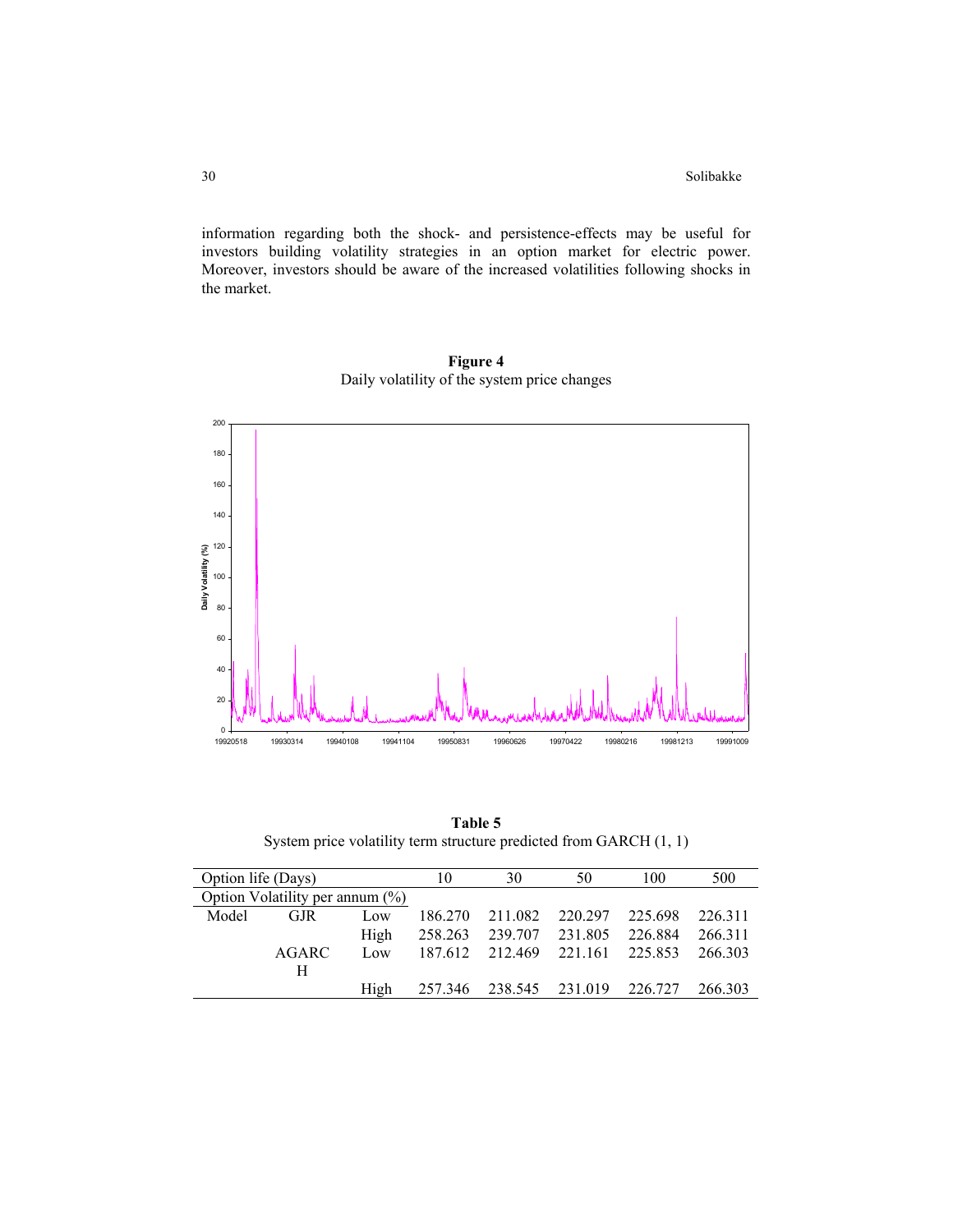information regarding both the shock- and persistence-effects may be useful for investors building volatility strategies in an option market for electric power. Moreover, investors should be aware of the increased volatilities following shocks in the market.



**Figure 4**  Daily volatility of the system price changes

**Table 5** System price volatility term structure predicted from GARCH (1, 1)

| Option life (Days) |                                    |      | 10      | 30              | 50              | 100     | 500     |
|--------------------|------------------------------------|------|---------|-----------------|-----------------|---------|---------|
|                    | Option Volatility per annum $(\%)$ |      |         |                 |                 |         |         |
| Model              | <b>GJR</b>                         | Low  | 186.270 | 211.082         | 220.297 225.698 |         | 226.311 |
|                    |                                    | High | 258.263 | 239.707         | 231.805         | 226.884 | 266.311 |
|                    | AGARC                              | Low  |         | 187.612 212.469 | 221.161 225.853 |         | 266 303 |
|                    | H                                  |      |         |                 |                 |         |         |
|                    |                                    | High | 257.346 | 238.545 231.019 |                 | 226.727 | 266.303 |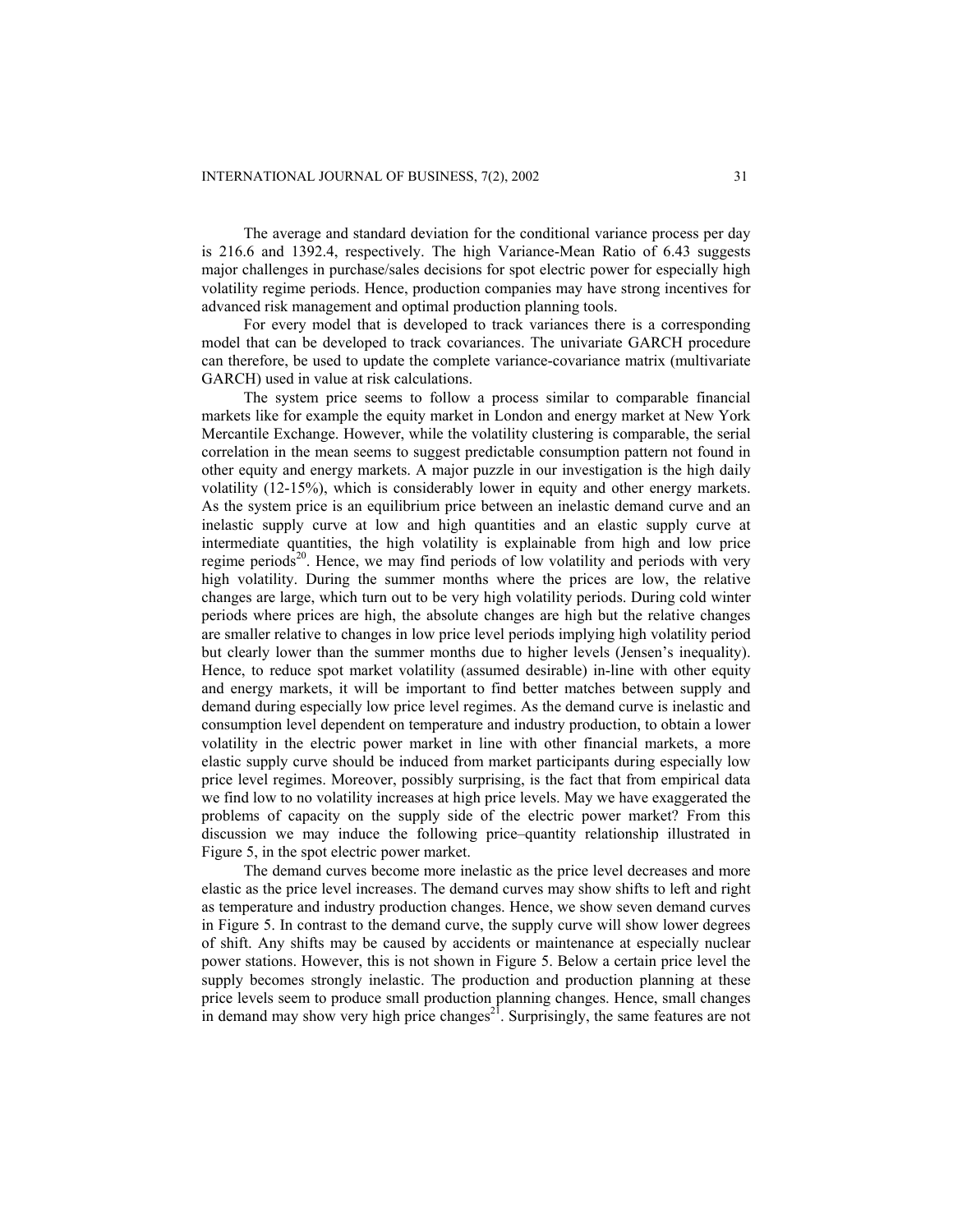The average and standard deviation for the conditional variance process per day is 216.6 and 1392.4, respectively. The high Variance-Mean Ratio of 6.43 suggests major challenges in purchase/sales decisions for spot electric power for especially high volatility regime periods. Hence, production companies may have strong incentives for advanced risk management and optimal production planning tools.

For every model that is developed to track variances there is a corresponding model that can be developed to track covariances. The univariate GARCH procedure can therefore, be used to update the complete variance-covariance matrix (multivariate GARCH) used in value at risk calculations.

The system price seems to follow a process similar to comparable financial markets like for example the equity market in London and energy market at New York Mercantile Exchange. However, while the volatility clustering is comparable, the serial correlation in the mean seems to suggest predictable consumption pattern not found in other equity and energy markets. A major puzzle in our investigation is the high daily volatility (12-15%), which is considerably lower in equity and other energy markets. As the system price is an equilibrium price between an inelastic demand curve and an inelastic supply curve at low and high quantities and an elastic supply curve at intermediate quantities, the high volatility is explainable from high and low price regime periods $2<sup>0</sup>$ . Hence, we may find periods of low volatility and periods with very high volatility. During the summer months where the prices are low, the relative changes are large, which turn out to be very high volatility periods. During cold winter periods where prices are high, the absolute changes are high but the relative changes are smaller relative to changes in low price level periods implying high volatility period but clearly lower than the summer months due to higher levels (Jensen's inequality). Hence, to reduce spot market volatility (assumed desirable) in-line with other equity and energy markets, it will be important to find better matches between supply and demand during especially low price level regimes. As the demand curve is inelastic and consumption level dependent on temperature and industry production, to obtain a lower volatility in the electric power market in line with other financial markets, a more elastic supply curve should be induced from market participants during especially low price level regimes. Moreover, possibly surprising, is the fact that from empirical data we find low to no volatility increases at high price levels. May we have exaggerated the problems of capacity on the supply side of the electric power market? From this discussion we may induce the following price–quantity relationship illustrated in Figure 5, in the spot electric power market.

The demand curves become more inelastic as the price level decreases and more elastic as the price level increases. The demand curves may show shifts to left and right as temperature and industry production changes. Hence, we show seven demand curves in Figure 5. In contrast to the demand curve, the supply curve will show lower degrees of shift. Any shifts may be caused by accidents or maintenance at especially nuclear power stations. However, this is not shown in Figure 5. Below a certain price level the supply becomes strongly inelastic. The production and production planning at these price levels seem to produce small production planning changes. Hence, small changes in demand may show very high price changes<sup>21</sup>. Surprisingly, the same features are not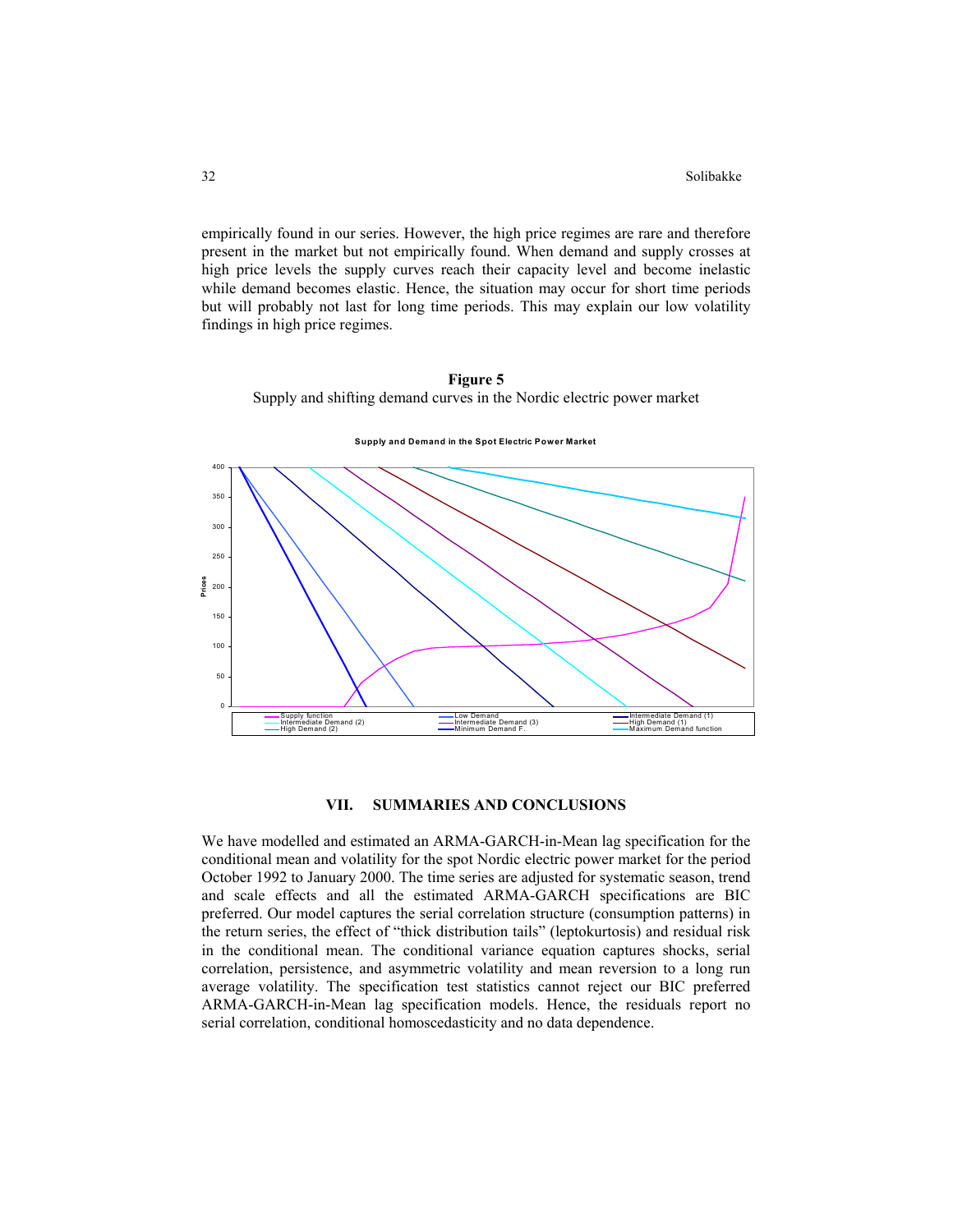empirically found in our series. However, the high price regimes are rare and therefore present in the market but not empirically found. When demand and supply crosses at high price levels the supply curves reach their capacity level and become inelastic while demand becomes elastic. Hence, the situation may occur for short time periods but will probably not last for long time periods. This may explain our low volatility findings in high price regimes.

# **Figure 5**

Supply and shifting demand curves in the Nordic electric power market





# **VII. SUMMARIES AND CONCLUSIONS**

We have modelled and estimated an ARMA-GARCH-in-Mean lag specification for the conditional mean and volatility for the spot Nordic electric power market for the period October 1992 to January 2000. The time series are adjusted for systematic season, trend and scale effects and all the estimated ARMA-GARCH specifications are BIC preferred. Our model captures the serial correlation structure (consumption patterns) in the return series, the effect of "thick distribution tails" (leptokurtosis) and residual risk in the conditional mean. The conditional variance equation captures shocks, serial correlation, persistence, and asymmetric volatility and mean reversion to a long run average volatility. The specification test statistics cannot reject our BIC preferred ARMA-GARCH-in-Mean lag specification models. Hence, the residuals report no serial correlation, conditional homoscedasticity and no data dependence.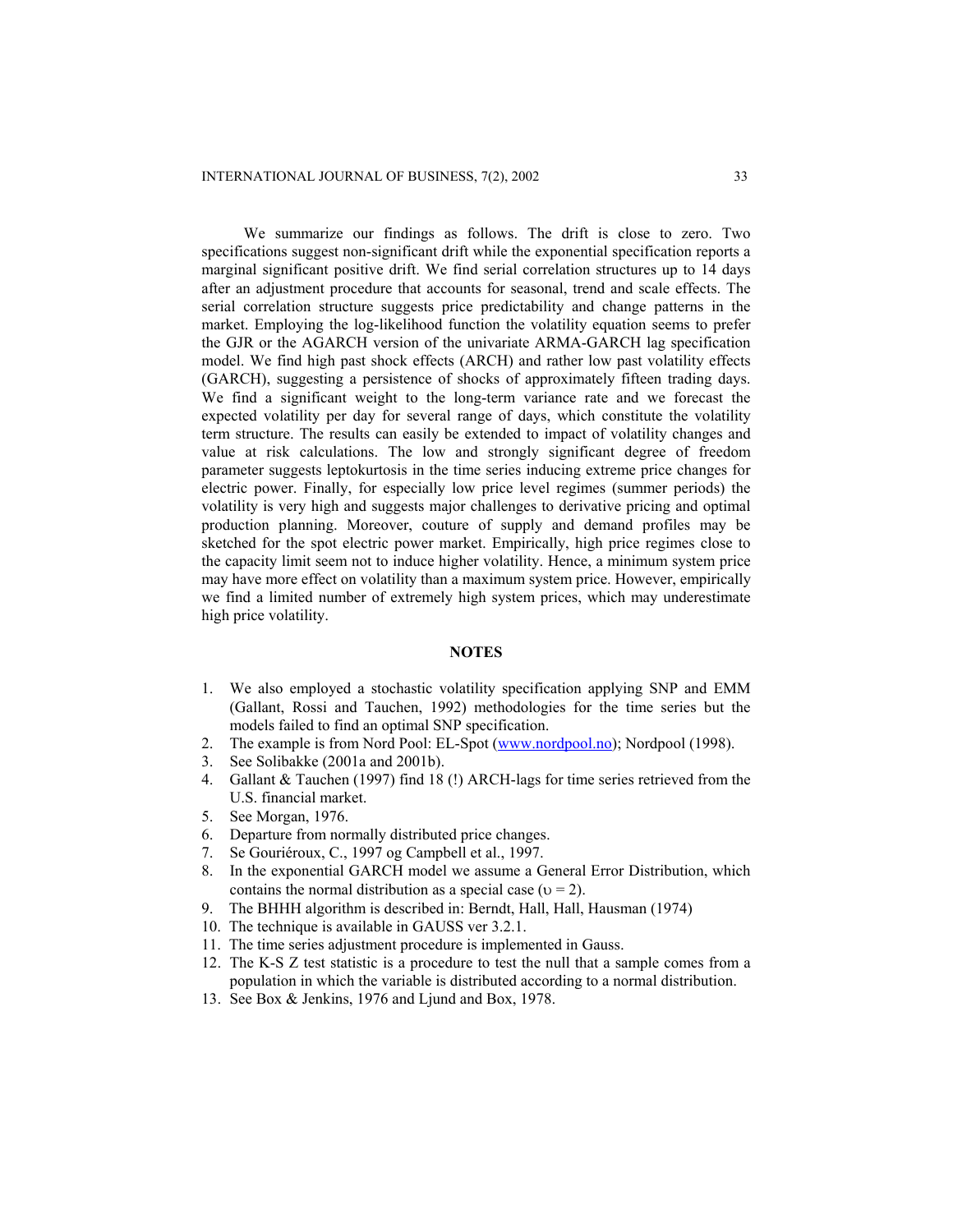We summarize our findings as follows. The drift is close to zero. Two specifications suggest non-significant drift while the exponential specification reports a marginal significant positive drift. We find serial correlation structures up to 14 days after an adjustment procedure that accounts for seasonal, trend and scale effects. The serial correlation structure suggests price predictability and change patterns in the market. Employing the log-likelihood function the volatility equation seems to prefer the GJR or the AGARCH version of the univariate ARMA-GARCH lag specification model. We find high past shock effects (ARCH) and rather low past volatility effects (GARCH), suggesting a persistence of shocks of approximately fifteen trading days. We find a significant weight to the long-term variance rate and we forecast the expected volatility per day for several range of days, which constitute the volatility term structure. The results can easily be extended to impact of volatility changes and value at risk calculations. The low and strongly significant degree of freedom parameter suggests leptokurtosis in the time series inducing extreme price changes for electric power. Finally, for especially low price level regimes (summer periods) the volatility is very high and suggests major challenges to derivative pricing and optimal production planning. Moreover, couture of supply and demand profiles may be sketched for the spot electric power market. Empirically, high price regimes close to the capacity limit seem not to induce higher volatility. Hence, a minimum system price may have more effect on volatility than a maximum system price. However, empirically we find a limited number of extremely high system prices, which may underestimate high price volatility.

### **NOTES**

- 1. We also employed a stochastic volatility specification applying SNP and EMM (Gallant, Rossi and Tauchen, 1992) methodologies for the time series but the models failed to find an optimal SNP specification.
- 2. The example is from Nord Pool: EL-Spot ([www.nordpool.no](http://www.nordpool.no/)); Nordpool (1998).
- 3. See Solibakke (2001a and 2001b).
- 4. Gallant & Tauchen (1997) find 18 (!) ARCH-lags for time series retrieved from the U.S. financial market.
- 5. See Morgan, 1976.
- 6. Departure from normally distributed price changes.
- 7. Se Gouriéroux, C., 1997 og Campbell et al., 1997.
- 8. In the exponential GARCH model we assume a General Error Distribution, which contains the normal distribution as a special case ( $v = 2$ ).
- 9. The BHHH algorithm is described in: Berndt, Hall, Hall, Hausman (1974)
- 10. The technique is available in GAUSS ver 3.2.1.
- 11. The time series adjustment procedure is implemented in Gauss.
- 12. The K-S Z test statistic is a procedure to test the null that a sample comes from a population in which the variable is distributed according to a normal distribution.
- 13. See Box & Jenkins, 1976 and Ljund and Box, 1978.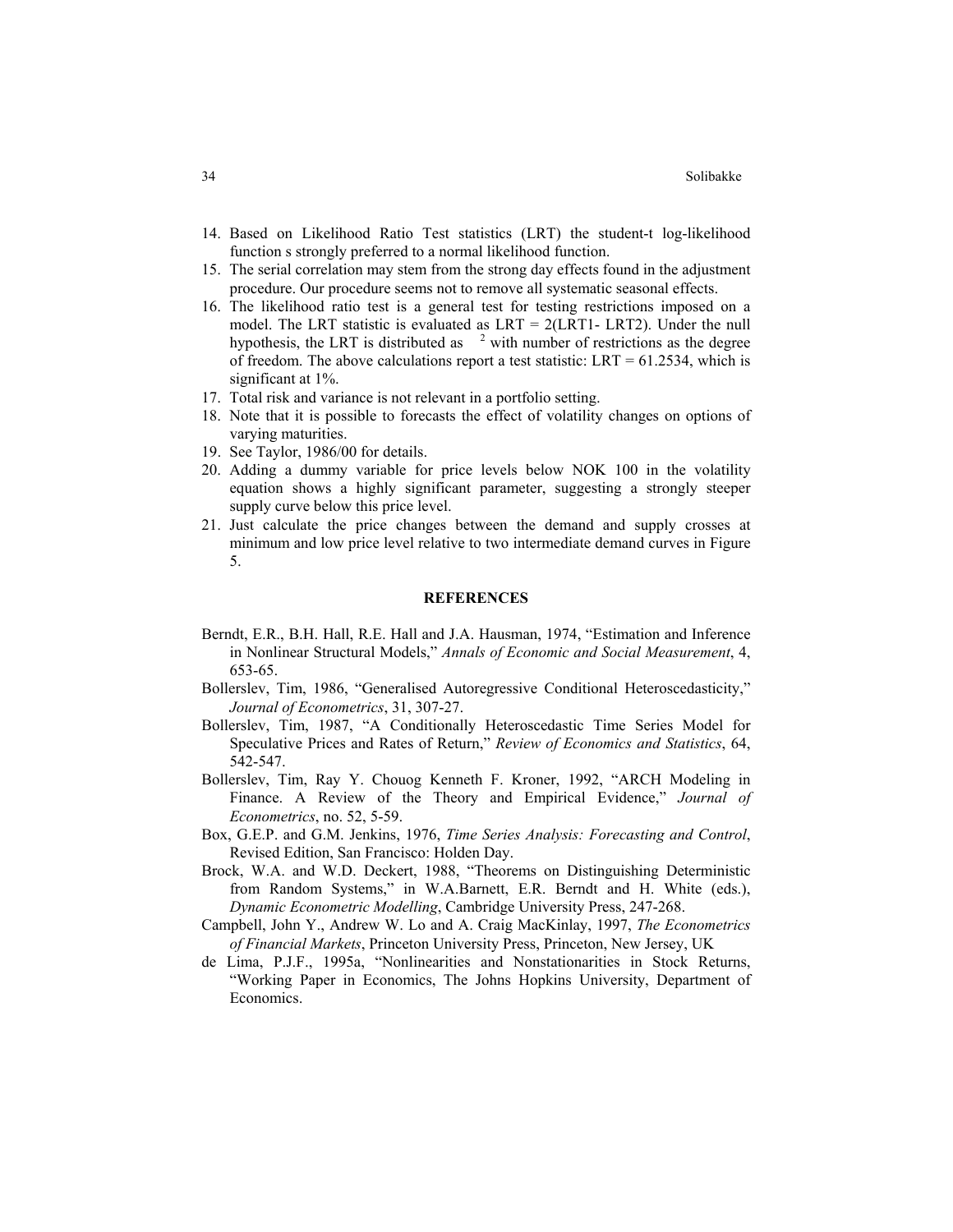- 14. Based on Likelihood Ratio Test statistics (LRT) the student-t log-likelihood function s strongly preferred to a normal likelihood function.
- 15. The serial correlation may stem from the strong day effects found in the adjustment procedure. Our procedure seems not to remove all systematic seasonal effects.
- 16. The likelihood ratio test is a general test for testing restrictions imposed on a model. The LRT statistic is evaluated as  $LRT = 2(LRT1 - LRT2)$ . Under the null hypothesis, the LRT is distributed as  $\lambda$ <sup>2</sup> with number of restrictions as the degree of freedom. The above calculations report a test statistic: LRT =  $61.2534$ , which is significant at 1%.
- 17. Total risk and variance is not relevant in a portfolio setting.
- 18. Note that it is possible to forecasts the effect of volatility changes on options of varying maturities.
- 19. See Taylor, 1986/00 for details.
- 20. Adding a dummy variable for price levels below NOK 100 in the volatility equation shows a highly significant parameter, suggesting a strongly steeper supply curve below this price level.
- 21. Just calculate the price changes between the demand and supply crosses at minimum and low price level relative to two intermediate demand curves in Figure 5.

#### **REFERENCES**

- Berndt, E.R., B.H. Hall, R.E. Hall and J.A. Hausman, 1974, "Estimation and Inference in Nonlinear Structural Models," *Annals of Economic and Social Measurement*, 4, 653-65.
- Bollerslev, Tim, 1986, "Generalised Autoregressive Conditional Heteroscedasticity," *Journal of Econometrics*, 31, 307-27.
- Bollerslev, Tim, 1987, "A Conditionally Heteroscedastic Time Series Model for Speculative Prices and Rates of Return," *Review of Economics and Statistics*, 64, 542-547.
- Bollerslev, Tim, Ray Y. Chouog Kenneth F. Kroner, 1992, "ARCH Modeling in Finance. A Review of the Theory and Empirical Evidence," *Journal of Econometrics*, no. 52, 5-59.
- Box, G.E.P. and G.M. Jenkins, 1976, *Time Series Analysis: Forecasting and Control*, Revised Edition, San Francisco: Holden Day.
- Brock, W.A. and W.D. Deckert, 1988, "Theorems on Distinguishing Deterministic from Random Systems," in W.A.Barnett, E.R. Berndt and H. White (eds.), *Dynamic Econometric Modelling*, Cambridge University Press, 247-268.
- Campbell, John Y., Andrew W. Lo and A. Craig MacKinlay, 1997, *The Econometrics of Financial Markets*, Princeton University Press, Princeton, New Jersey, UK
- de Lima, P.J.F., 1995a, "Nonlinearities and Nonstationarities in Stock Returns, "Working Paper in Economics, The Johns Hopkins University, Department of Economics.